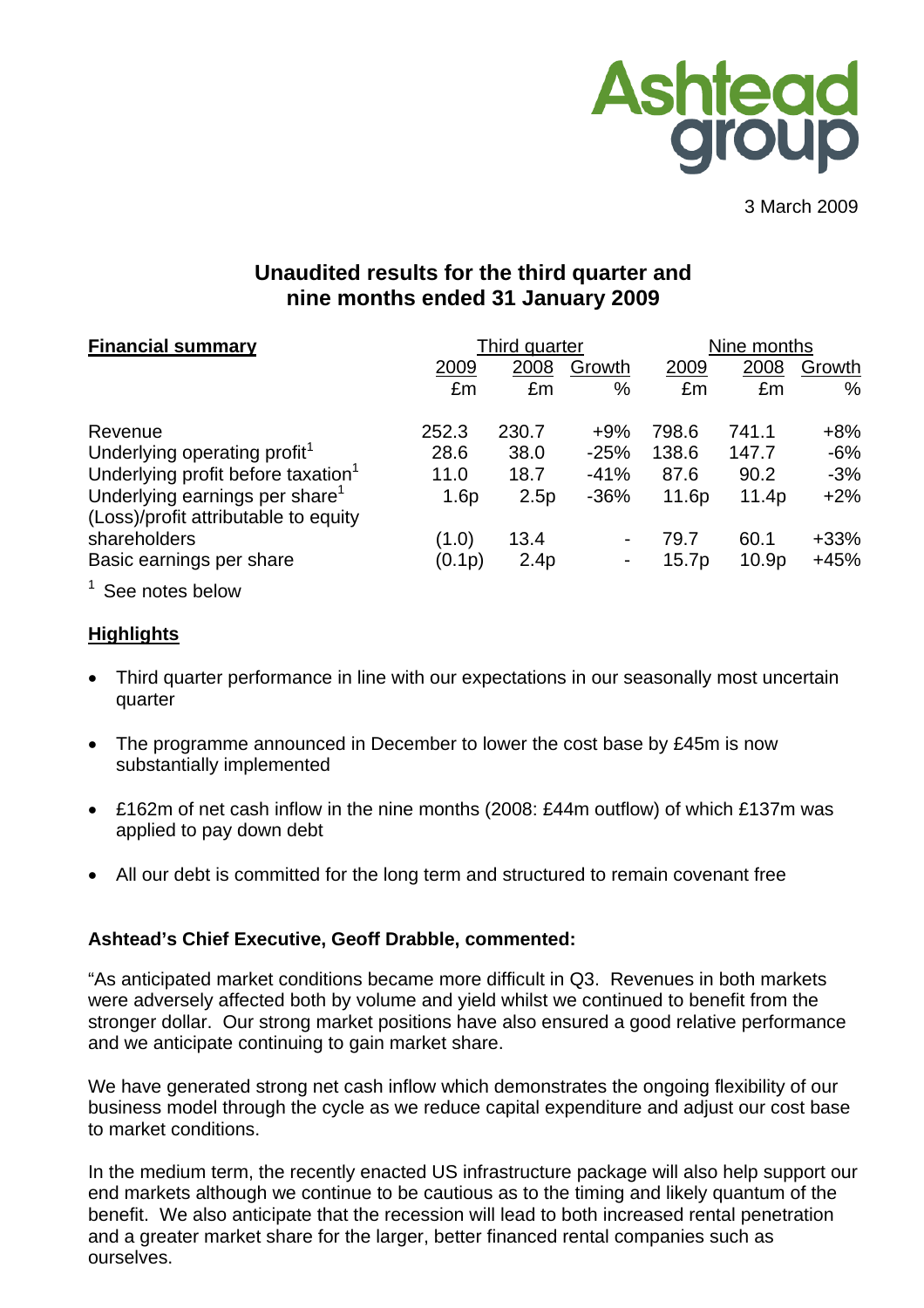

3 March 2009

# **Unaudited results for the third quarter and nine months ended 31 January 2009**

| <b>Financial summary</b>                                                           |        | Third quarter |        |       | Nine months       |        |  |
|------------------------------------------------------------------------------------|--------|---------------|--------|-------|-------------------|--------|--|
|                                                                                    | 2009   | 2008          | Growth | 2009  | 2008              | Growth |  |
|                                                                                    | £m     | £m            | %      | £m    | £m                | $\%$   |  |
| Revenue                                                                            | 252.3  | 230.7         | $+9%$  | 798.6 | 741.1             | $+8%$  |  |
| Underlying operating profit <sup>1</sup>                                           | 28.6   | 38.0          | $-25%$ | 138.6 | 147.7             | $-6%$  |  |
| Underlying profit before taxation <sup>1</sup>                                     | 11.0   | 18.7          | $-41%$ | 87.6  | 90.2              | $-3%$  |  |
| Underlying earnings per share <sup>1</sup><br>(Loss)/profit attributable to equity | 1.6p   | 2.5p          | $-36%$ | 11.6p | 11.4p             | $+2\%$ |  |
| shareholders                                                                       | (1.0)  | 13.4          |        | 79.7  | 60.1              | $+33%$ |  |
| Basic earnings per share                                                           | (0.1p) | 2.4p          |        | 15.7p | 10.9 <sub>p</sub> | +45%   |  |
| $1$ See notes helow                                                                |        |               |        |       |                   |        |  |

See notes below

# **Highlights**

- Third quarter performance in line with our expectations in our seasonally most uncertain quarter
- The programme announced in December to lower the cost base by £45m is now substantially implemented
- £162m of net cash inflow in the nine months (2008: £44m outflow) of which £137m was applied to pay down debt
- All our debt is committed for the long term and structured to remain covenant free

# **Ashtead's Chief Executive, Geoff Drabble, commented:**

"As anticipated market conditions became more difficult in Q3. Revenues in both markets were adversely affected both by volume and yield whilst we continued to benefit from the stronger dollar. Our strong market positions have also ensured a good relative performance and we anticipate continuing to gain market share.

We have generated strong net cash inflow which demonstrates the ongoing flexibility of our business model through the cycle as we reduce capital expenditure and adjust our cost base to market conditions.

In the medium term, the recently enacted US infrastructure package will also help support our end markets although we continue to be cautious as to the timing and likely quantum of the benefit. We also anticipate that the recession will lead to both increased rental penetration and a greater market share for the larger, better financed rental companies such as ourselves.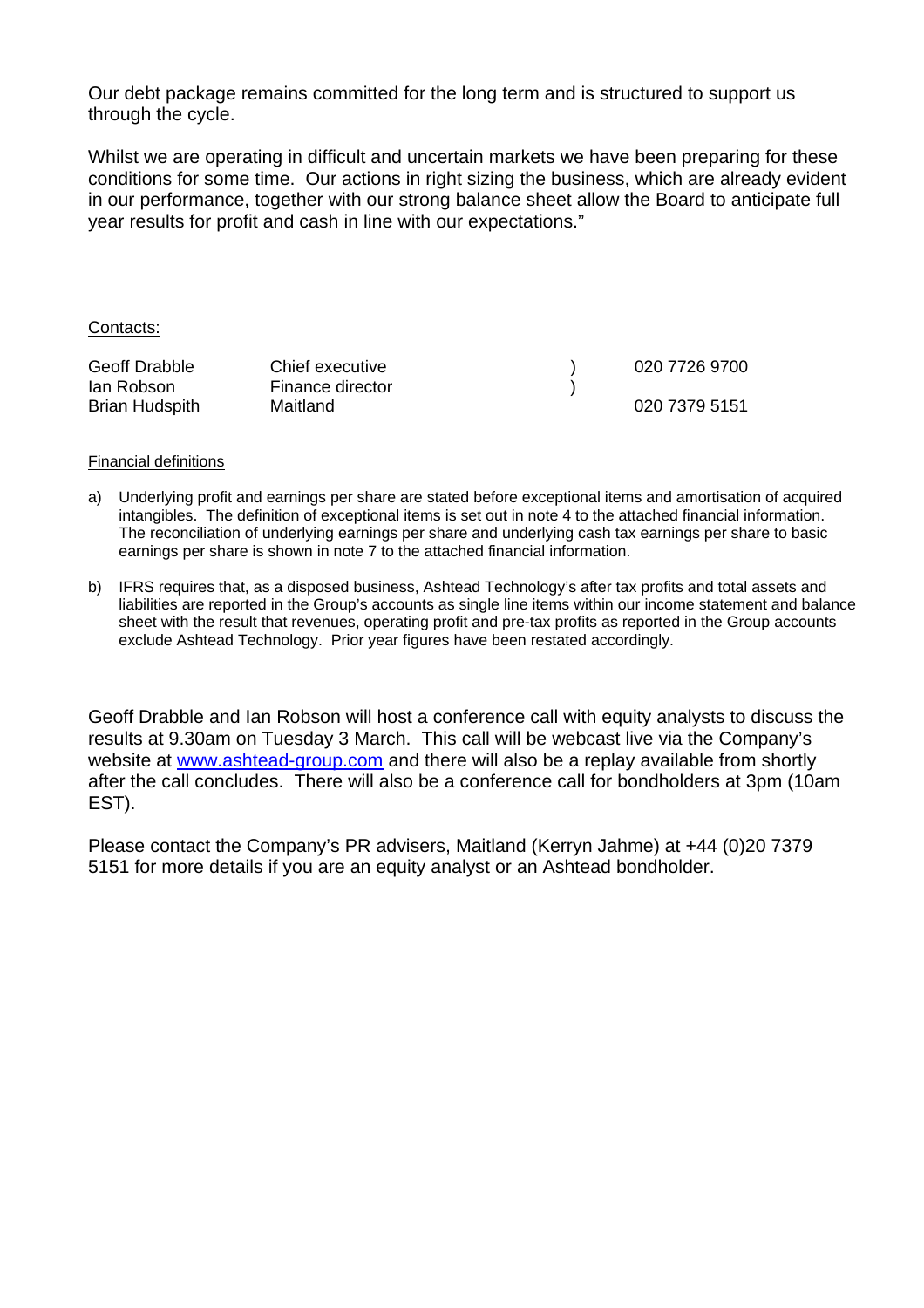Our debt package remains committed for the long term and is structured to support us through the cycle.

Whilst we are operating in difficult and uncertain markets we have been preparing for these conditions for some time. Our actions in right sizing the business, which are already evident in our performance, together with our strong balance sheet allow the Board to anticipate full year results for profit and cash in line with our expectations."

#### Contacts:

| <b>Geoff Drabble</b>  | Chief executive  | 020 7726 9700 |
|-----------------------|------------------|---------------|
| lan Robson            | Finance director |               |
| <b>Brian Hudspith</b> | Maitland         | 020 7379 5151 |

#### Financial definitions

- a) Underlying profit and earnings per share are stated before exceptional items and amortisation of acquired intangibles. The definition of exceptional items is set out in note 4 to the attached financial information. The reconciliation of underlying earnings per share and underlying cash tax earnings per share to basic earnings per share is shown in note 7 to the attached financial information.
- b) IFRS requires that, as a disposed business, Ashtead Technology's after tax profits and total assets and liabilities are reported in the Group's accounts as single line items within our income statement and balance sheet with the result that revenues, operating profit and pre-tax profits as reported in the Group accounts exclude Ashtead Technology. Prior year figures have been restated accordingly.

Geoff Drabble and Ian Robson will host a conference call with equity analysts to discuss the results at 9.30am on Tuesday 3 March. This call will be webcast live via the Company's website at www.ashtead-group.com and there will also be a replay available from shortly after the call concludes. There will also be a conference call for bondholders at 3pm (10am EST).

Please contact the Company's PR advisers, Maitland (Kerryn Jahme) at +44 (0)20 7379 5151 for more details if you are an equity analyst or an Ashtead bondholder.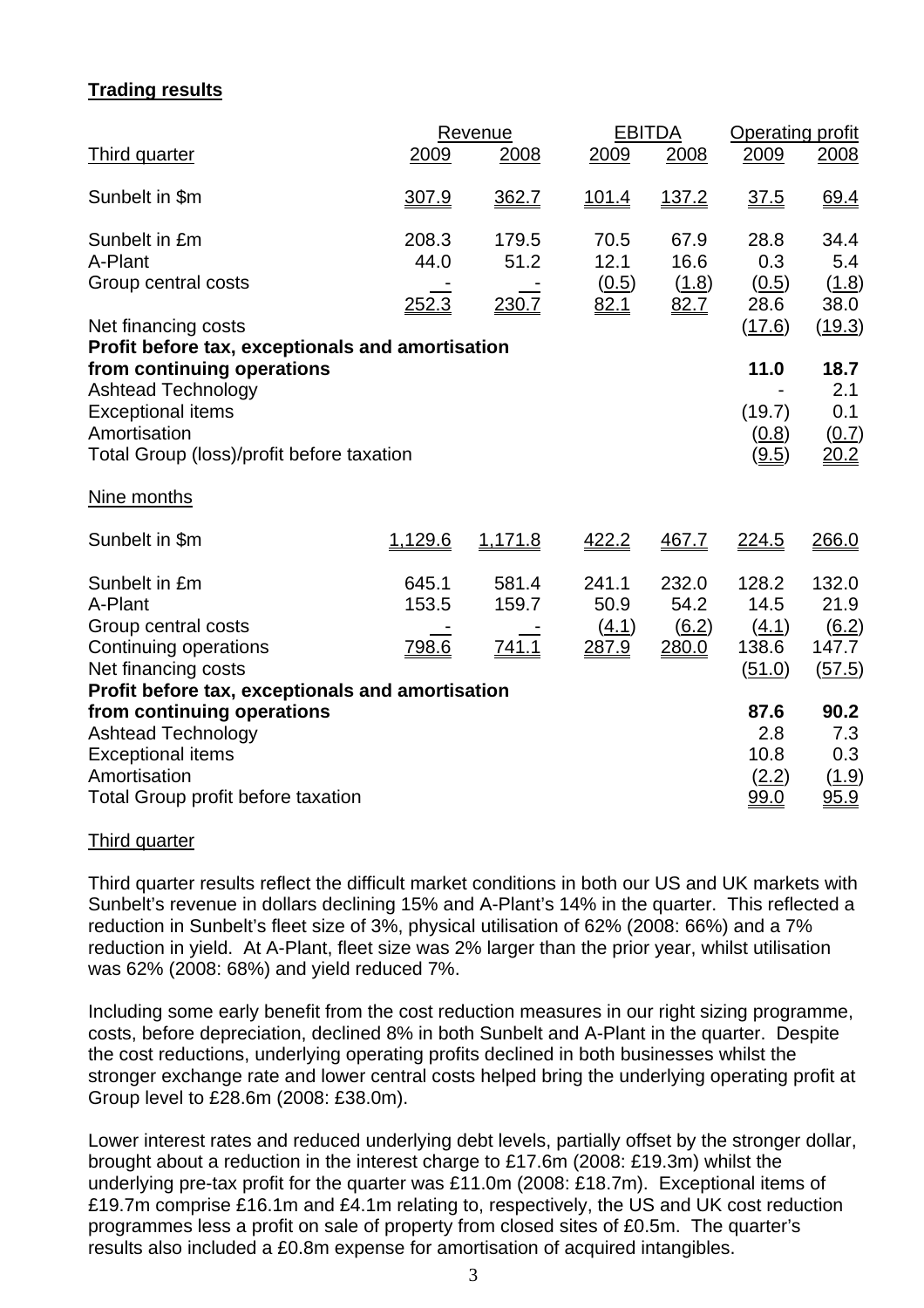# **Trading results**

|                                                                                                                                                                                                                                                                                                  |                                | Revenue                 | <b>EBITDA</b>                   |                                               | Operating profit                                                                         |                                                                                 |
|--------------------------------------------------------------------------------------------------------------------------------------------------------------------------------------------------------------------------------------------------------------------------------------------------|--------------------------------|-------------------------|---------------------------------|-----------------------------------------------|------------------------------------------------------------------------------------------|---------------------------------------------------------------------------------|
| <b>Third quarter</b>                                                                                                                                                                                                                                                                             | 2009                           | 2008                    | 2009                            | 2008                                          | 2009                                                                                     | 2008                                                                            |
| Sunbelt in \$m                                                                                                                                                                                                                                                                                   | 307.9                          | 362.7                   | <u>101.4</u>                    | 137.2                                         | 37.5                                                                                     | 69.4                                                                            |
| Sunbelt in £m<br>A-Plant<br>Group central costs<br>Net financing costs<br>Profit before tax, exceptionals and amortisation<br>from continuing operations                                                                                                                                         | 208.3<br>44.0<br><u> 252.3</u> | 179.5<br>51.2<br>230.7  | 70.5<br>12.1<br>(0.5)<br>82.1   | 67.9<br>16.6<br>(1.8)<br>82.7                 | 28.8<br>0.3<br>(0.5)<br>28.6<br>(17.6)<br>11.0                                           | 34.4<br>5.4<br>(1.8)<br>38.0<br>(19.3)<br>18.7                                  |
| <b>Ashtead Technology</b><br><b>Exceptional items</b><br>Amortisation<br>Total Group (loss)/profit before taxation<br>Nine months                                                                                                                                                                |                                |                         |                                 |                                               | (19.7)<br>(0.8)<br>(9.5)                                                                 | 2.1<br>0.1<br>(0.7)<br><u> 20.2</u>                                             |
| Sunbelt in \$m                                                                                                                                                                                                                                                                                   | 1,129.6                        | 1,171.8                 | 422.2                           | 467.7                                         | 224.5                                                                                    | 266.0                                                                           |
| Sunbelt in £m<br>A-Plant<br>Group central costs<br>Continuing operations<br>Net financing costs<br>Profit before tax, exceptionals and amortisation<br>from continuing operations<br><b>Ashtead Technology</b><br><b>Exceptional items</b><br>Amortisation<br>Total Group profit before taxation | 645.1<br>153.5<br>798.6        | 581.4<br>159.7<br>741.1 | 241.1<br>50.9<br>(4.1)<br>287.9 | 232.0<br>54.2<br>$\underline{(6.2)}$<br>280.0 | 128.2<br>14.5<br>(4.1)<br>138.6<br>(51.0)<br>87.6<br>2.8<br>10.8<br>(2.2)<br><u>99.0</u> | 132.0<br>21.9<br>6.2)<br>147.7<br>(57.5)<br>90.2<br>7.3<br>0.3<br>(1.9)<br>95.9 |

#### Third quarter

Third quarter results reflect the difficult market conditions in both our US and UK markets with Sunbelt's revenue in dollars declining 15% and A-Plant's 14% in the quarter. This reflected a reduction in Sunbelt's fleet size of 3%, physical utilisation of 62% (2008: 66%) and a 7% reduction in yield. At A-Plant, fleet size was 2% larger than the prior year, whilst utilisation was 62% (2008: 68%) and yield reduced 7%.

Including some early benefit from the cost reduction measures in our right sizing programme, costs, before depreciation, declined 8% in both Sunbelt and A-Plant in the quarter. Despite the cost reductions, underlying operating profits declined in both businesses whilst the stronger exchange rate and lower central costs helped bring the underlying operating profit at Group level to £28.6m (2008: £38.0m).

Lower interest rates and reduced underlying debt levels, partially offset by the stronger dollar, brought about a reduction in the interest charge to £17.6m (2008: £19.3m) whilst the underlying pre-tax profit for the quarter was £11.0m (2008: £18.7m). Exceptional items of £19.7m comprise £16.1m and £4.1m relating to, respectively, the US and UK cost reduction programmes less a profit on sale of property from closed sites of £0.5m. The quarter's results also included a £0.8m expense for amortisation of acquired intangibles.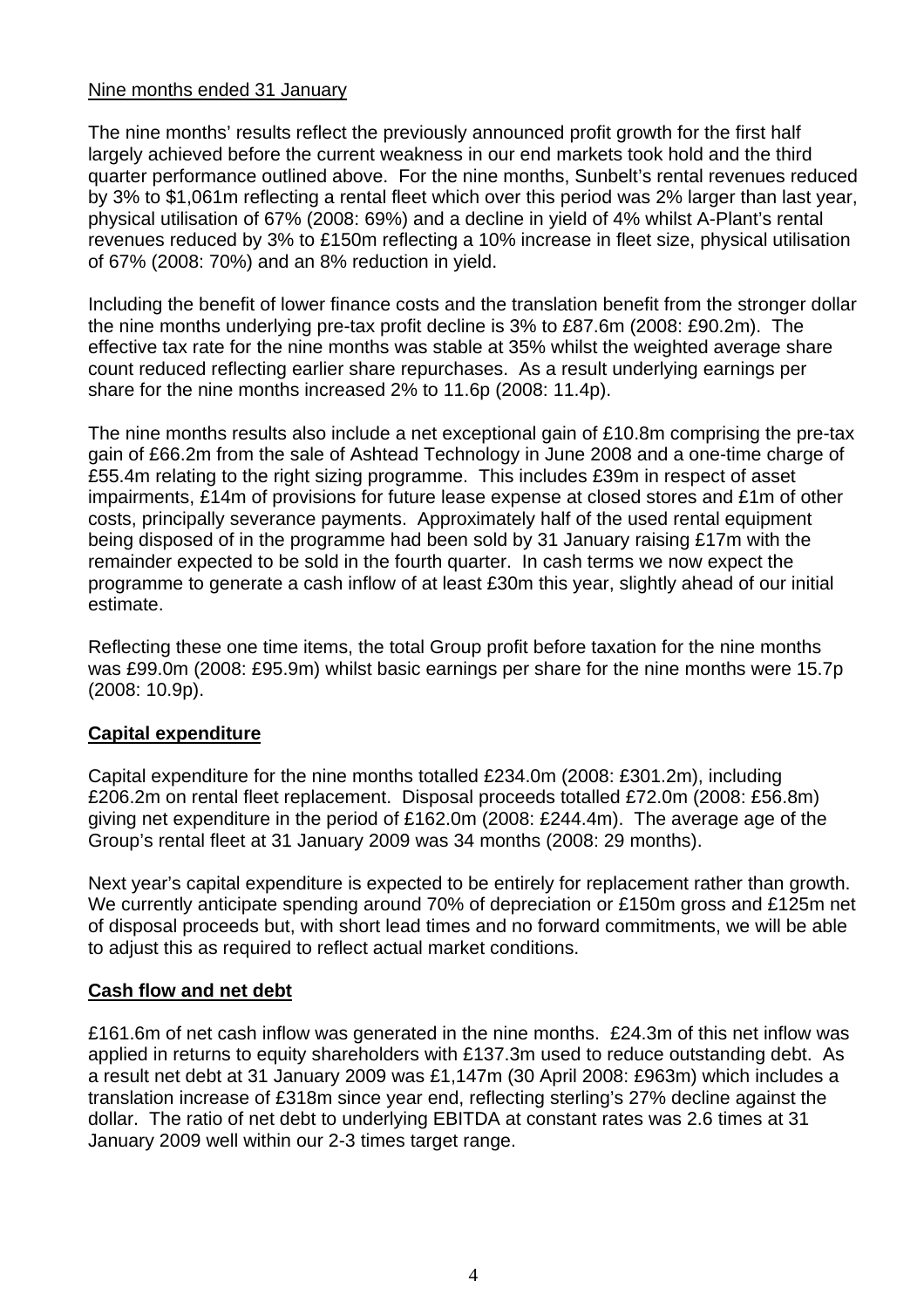# Nine months ended 31 January

The nine months' results reflect the previously announced profit growth for the first half largely achieved before the current weakness in our end markets took hold and the third quarter performance outlined above. For the nine months, Sunbelt's rental revenues reduced by 3% to \$1,061m reflecting a rental fleet which over this period was 2% larger than last year, physical utilisation of 67% (2008: 69%) and a decline in yield of 4% whilst A-Plant's rental revenues reduced by 3% to £150m reflecting a 10% increase in fleet size, physical utilisation of 67% (2008: 70%) and an 8% reduction in yield.

Including the benefit of lower finance costs and the translation benefit from the stronger dollar the nine months underlying pre-tax profit decline is 3% to £87.6m (2008: £90.2m). The effective tax rate for the nine months was stable at 35% whilst the weighted average share count reduced reflecting earlier share repurchases. As a result underlying earnings per share for the nine months increased 2% to 11.6p (2008: 11.4p).

The nine months results also include a net exceptional gain of £10.8m comprising the pre-tax gain of £66.2m from the sale of Ashtead Technology in June 2008 and a one-time charge of £55.4m relating to the right sizing programme. This includes £39m in respect of asset impairments, £14m of provisions for future lease expense at closed stores and £1m of other costs, principally severance payments. Approximately half of the used rental equipment being disposed of in the programme had been sold by 31 January raising £17m with the remainder expected to be sold in the fourth quarter. In cash terms we now expect the programme to generate a cash inflow of at least £30m this year, slightly ahead of our initial estimate.

Reflecting these one time items, the total Group profit before taxation for the nine months was £99.0m (2008: £95.9m) whilst basic earnings per share for the nine months were 15.7p (2008: 10.9p).

# **Capital expenditure**

Capital expenditure for the nine months totalled £234.0m (2008: £301.2m), including £206.2m on rental fleet replacement. Disposal proceeds totalled £72.0m (2008: £56.8m) giving net expenditure in the period of £162.0m (2008: £244.4m). The average age of the Group's rental fleet at 31 January 2009 was 34 months (2008: 29 months).

Next year's capital expenditure is expected to be entirely for replacement rather than growth. We currently anticipate spending around 70% of depreciation or £150m gross and £125m net of disposal proceeds but, with short lead times and no forward commitments, we will be able to adjust this as required to reflect actual market conditions.

# **Cash flow and net debt**

£161.6m of net cash inflow was generated in the nine months. £24.3m of this net inflow was applied in returns to equity shareholders with £137.3m used to reduce outstanding debt. As a result net debt at 31 January 2009 was £1,147m (30 April 2008: £963m) which includes a translation increase of £318m since year end, reflecting sterling's 27% decline against the dollar. The ratio of net debt to underlying EBITDA at constant rates was 2.6 times at 31 January 2009 well within our 2-3 times target range.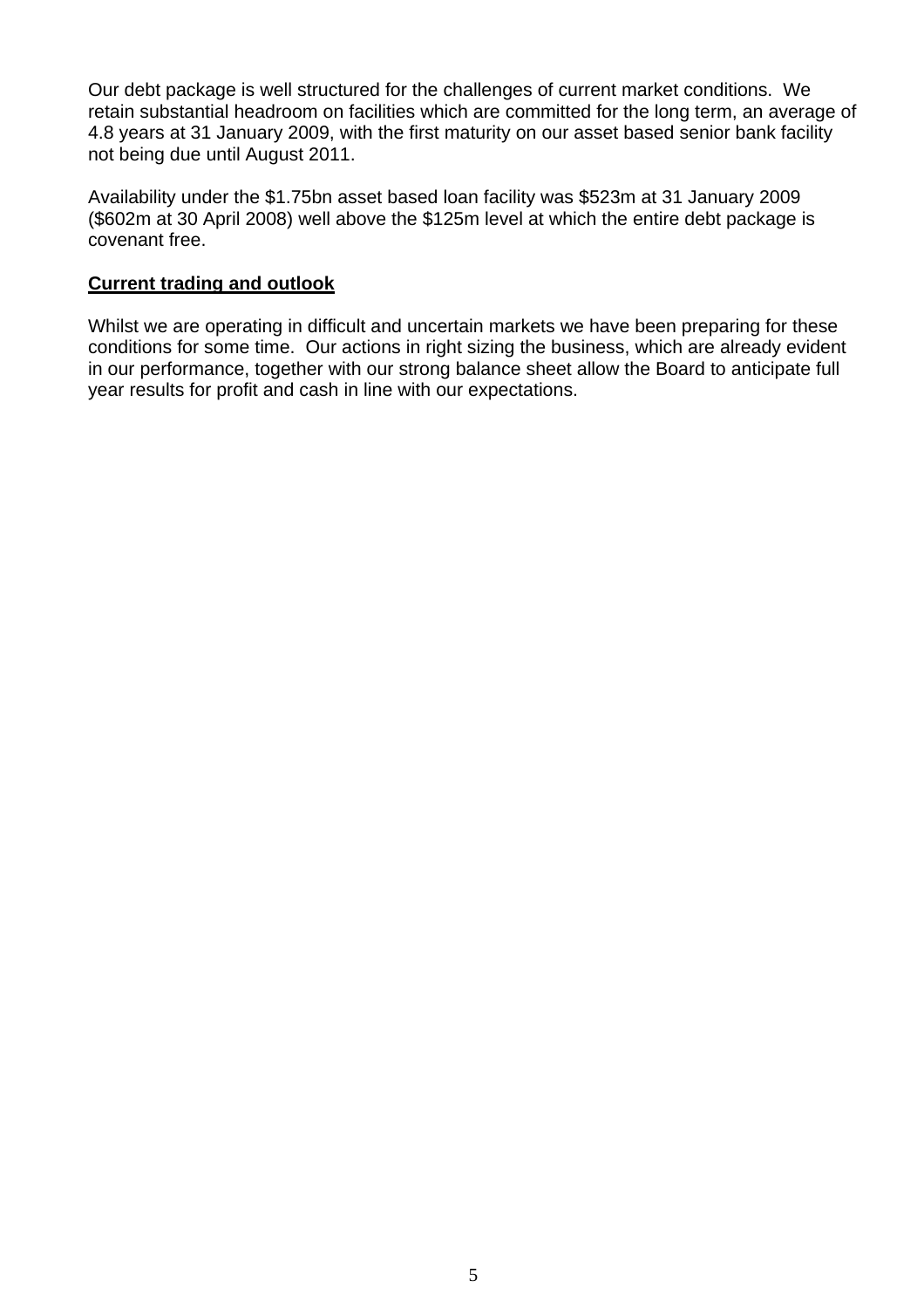Our debt package is well structured for the challenges of current market conditions. We retain substantial headroom on facilities which are committed for the long term, an average of 4.8 years at 31 January 2009, with the first maturity on our asset based senior bank facility not being due until August 2011.

Availability under the \$1.75bn asset based loan facility was \$523m at 31 January 2009 (\$602m at 30 April 2008) well above the \$125m level at which the entire debt package is covenant free.

# **Current trading and outlook**

Whilst we are operating in difficult and uncertain markets we have been preparing for these conditions for some time. Our actions in right sizing the business, which are already evident in our performance, together with our strong balance sheet allow the Board to anticipate full year results for profit and cash in line with our expectations.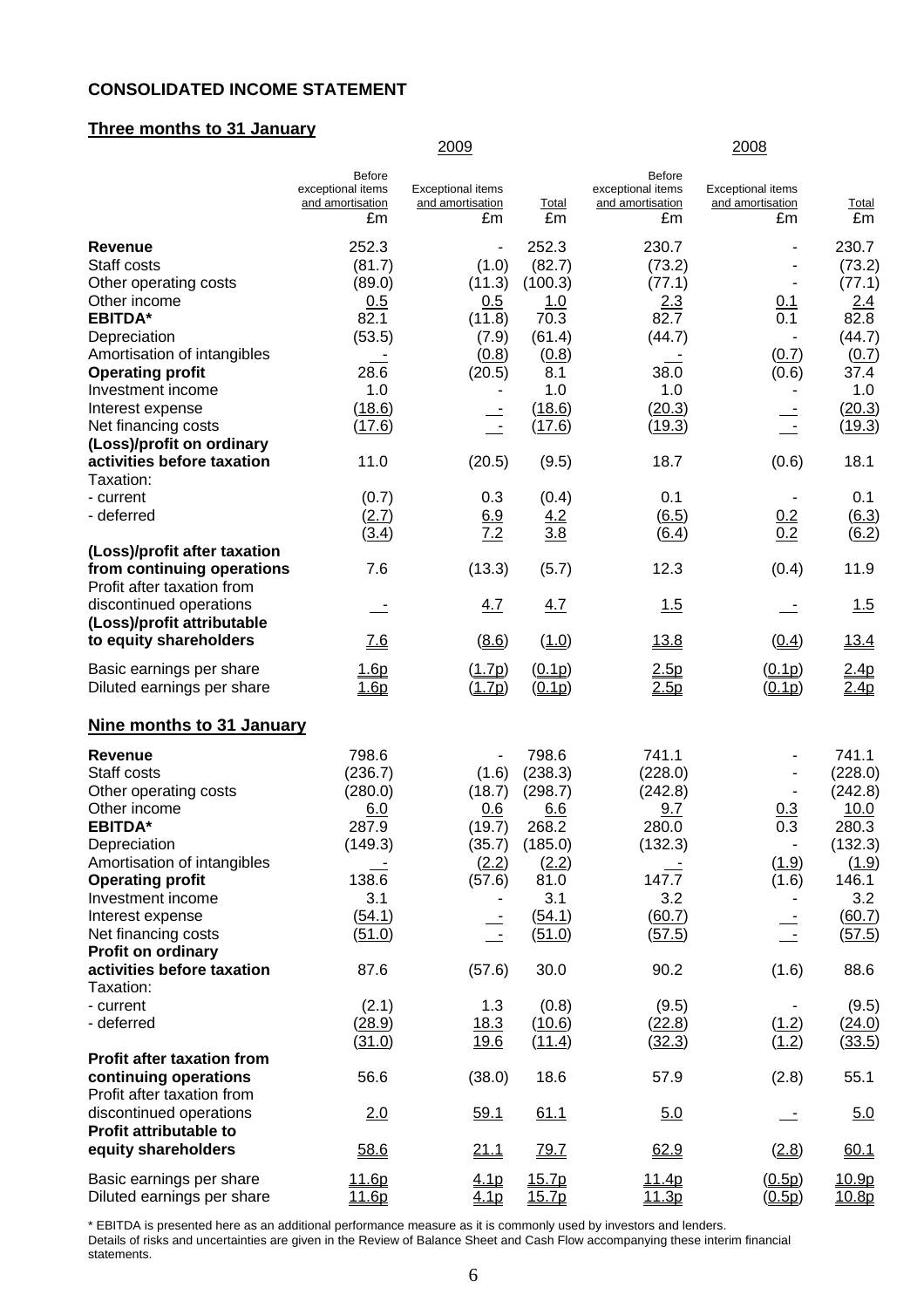#### **CONSOLIDATED INCOME STATEMENT**

# **Three months to 31 January**

|                                                                                                                                                                                                                                                                                                                                       |                                                                                                                          | 2009                                                                                                                              |                                                                                                                                |                                                                                                                        | 2008                                                                                      |                                                                                                                                               |
|---------------------------------------------------------------------------------------------------------------------------------------------------------------------------------------------------------------------------------------------------------------------------------------------------------------------------------------|--------------------------------------------------------------------------------------------------------------------------|-----------------------------------------------------------------------------------------------------------------------------------|--------------------------------------------------------------------------------------------------------------------------------|------------------------------------------------------------------------------------------------------------------------|-------------------------------------------------------------------------------------------|-----------------------------------------------------------------------------------------------------------------------------------------------|
|                                                                                                                                                                                                                                                                                                                                       | <b>Before</b><br>exceptional items<br>and amortisation<br>£m                                                             | <b>Exceptional items</b><br>and amortisation<br>£m                                                                                | Total<br>£m                                                                                                                    | <b>Before</b><br>exceptional items<br>and amortisation<br>£m                                                           | <b>Exceptional items</b><br>and amortisation<br>£m                                        | <u>Total</u><br>£m                                                                                                                            |
| <b>Revenue</b><br>Staff costs<br>Other operating costs<br>Other income<br><b>EBITDA*</b><br>Depreciation<br>Amortisation of intangibles<br><b>Operating profit</b><br>Investment income<br>Interest expense<br>Net financing costs<br>(Loss)/profit on ordinary<br>activities before taxation<br>Taxation:<br>- current<br>- deferred | 252.3<br>(81.7)<br>(89.0)<br>0.5<br>82.1<br>(53.5)<br>28.6<br>1.0<br>(18.6)<br>(17.6)<br>11.0<br>(0.7)<br>(2.7)<br>(3.4) | $\overline{\phantom{a}}$<br>(1.0)<br>(11.3)<br>0.5<br>(11.8)<br>(7.9)<br>(0.8)<br>(20.5)<br>$\sim$<br>(20.5)<br>0.3<br>6.9<br>7.2 | 252.3<br>(82.7)<br>(100.3)<br>1.0<br>70.3<br>(61.4)<br>(0.8)<br>8.1<br>1.0<br>(18.6)<br>(17.6)<br>(9.5)<br>(0.4)<br>4.2<br>3.8 | 230.7<br>(73.2)<br>(77.1)<br>2.3<br>82.7<br>(44.7)<br>38.0<br>1.0<br>(20.3)<br>(19.3)<br>18.7<br>0.1<br>(6.5)<br>(6.4) | 0.1<br>$\overline{0.1}$<br>(0.7)<br>(0.6)<br>(0.6)<br>$\blacksquare$<br>$\frac{0.2}{0.2}$ | 230.7<br>(73.2)<br>(77.1)<br>2.4<br>82.8<br>(44.7)<br>(0.7)<br>37.4<br>1.0<br>(20.3)<br>(19.3)<br>18.1<br>0.1<br>$\underline{(6.3)}$<br>(6.2) |
| (Loss)/profit after taxation<br>from continuing operations<br>Profit after taxation from<br>discontinued operations<br>(Loss)/profit attributable<br>to equity shareholders                                                                                                                                                           | 7.6<br><u>7.6</u>                                                                                                        | (13.3)<br>4.7<br>(8.6)                                                                                                            | (5.7)<br>4.7<br>(1.0)                                                                                                          | 12.3<br>1.5<br>13.8                                                                                                    | (0.4)<br>(0.4)                                                                            | 11.9<br>1.5<br><u>13.4</u>                                                                                                                    |
| Basic earnings per share<br>Diluted earnings per share                                                                                                                                                                                                                                                                                | <u>1.6p</u><br>1.6p                                                                                                      | (1.7p)<br>(1.7p)                                                                                                                  | (0.1p)<br>(0.1p)                                                                                                               | 2.5p<br>2.5p                                                                                                           | (0.1p)<br>(0.1p)                                                                          | <u>2.4p</u><br>2.4p                                                                                                                           |
| Nine months to 31 January                                                                                                                                                                                                                                                                                                             |                                                                                                                          |                                                                                                                                   |                                                                                                                                |                                                                                                                        |                                                                                           |                                                                                                                                               |
| <b>Revenue</b><br>Staff costs<br>Other operating costs<br>Other income<br><b>EBITDA*</b><br>Depreciation<br>Amortisation of intangibles<br><b>Operating profit</b><br>Investment income<br>Interest expense<br>Net financing costs<br>Profit on ordinary                                                                              | 798.6<br>(236.7)<br>(280.0)<br>6.0<br>287.9<br>(149.3)<br>138.6<br>3.1<br>(54.1)<br>(51.0)                               | (1.6)<br>(18.7)<br>0.6<br>(19.7)<br>(35.7)<br>(2.2)<br>(57.6)<br>$\overline{\phantom{a}}$                                         | 798.6<br>(238.3)<br>(298.7)<br>6.6<br>268.2<br>(185.0)<br>(2.2)<br>81.0<br>3.1<br>(54.1)<br>(51.0)                             | 741.1<br>(228.0)<br>(242.8)<br>9.7<br>280.0<br>(132.3)<br>147.7<br>3.2<br>(60.7)<br>(57.5)                             | 0.3<br>0.3<br>$\blacksquare$<br>(1.9)<br>(1.6)<br>$\sim$                                  | 741.1<br>(228.0)<br>(242.8)<br>10.0<br>280.3<br>(132.3)<br>(1.9)<br>146.1<br>3.2<br>(60.7)<br><u>(57.5)</u>                                   |
| activities before taxation                                                                                                                                                                                                                                                                                                            | 87.6                                                                                                                     | (57.6)                                                                                                                            | 30.0                                                                                                                           | 90.2                                                                                                                   | (1.6)                                                                                     | 88.6                                                                                                                                          |
| Taxation:<br>- current<br>- deferred                                                                                                                                                                                                                                                                                                  | (2.1)<br>(28.9)<br>(31.0)                                                                                                | 1.3<br>18.3<br><u>19.6</u>                                                                                                        | (0.8)<br>(10.6)<br>(11.4)                                                                                                      | (9.5)<br>(22.8)<br>(32.3)                                                                                              | (1.2)<br>(1.2)                                                                            | (9.5)<br>(24.0)<br><u>(33.5)</u>                                                                                                              |
| <b>Profit after taxation from</b><br>continuing operations                                                                                                                                                                                                                                                                            | 56.6                                                                                                                     | (38.0)                                                                                                                            | 18.6                                                                                                                           | 57.9                                                                                                                   | (2.8)                                                                                     | 55.1                                                                                                                                          |
| Profit after taxation from<br>discontinued operations<br><b>Profit attributable to</b>                                                                                                                                                                                                                                                | 2.0                                                                                                                      | <u>59.1</u>                                                                                                                       | 61.1                                                                                                                           | 5.0                                                                                                                    |                                                                                           | 5.0                                                                                                                                           |
| equity shareholders                                                                                                                                                                                                                                                                                                                   | 58.6                                                                                                                     | 21.1                                                                                                                              | 79.7                                                                                                                           | 62.9                                                                                                                   | (2.8)                                                                                     | 60.1                                                                                                                                          |
| Basic earnings per share<br>Diluted earnings per share                                                                                                                                                                                                                                                                                | 11.6p<br>11.6p                                                                                                           | 4.1 <sub>p</sub><br>4.1 <sub>p</sub>                                                                                              | 15.7p<br>15.7p                                                                                                                 | 11.4p<br>11.3p                                                                                                         | (0.5p)<br>(0.5p)                                                                          | 10.9p<br><u>10.8p</u>                                                                                                                         |

\* EBITDA is presented here as an additional performance measure as it is commonly used by investors and lenders. Details of risks and uncertainties are given in the Review of Balance Sheet and Cash Flow accompanying these interim financial statements.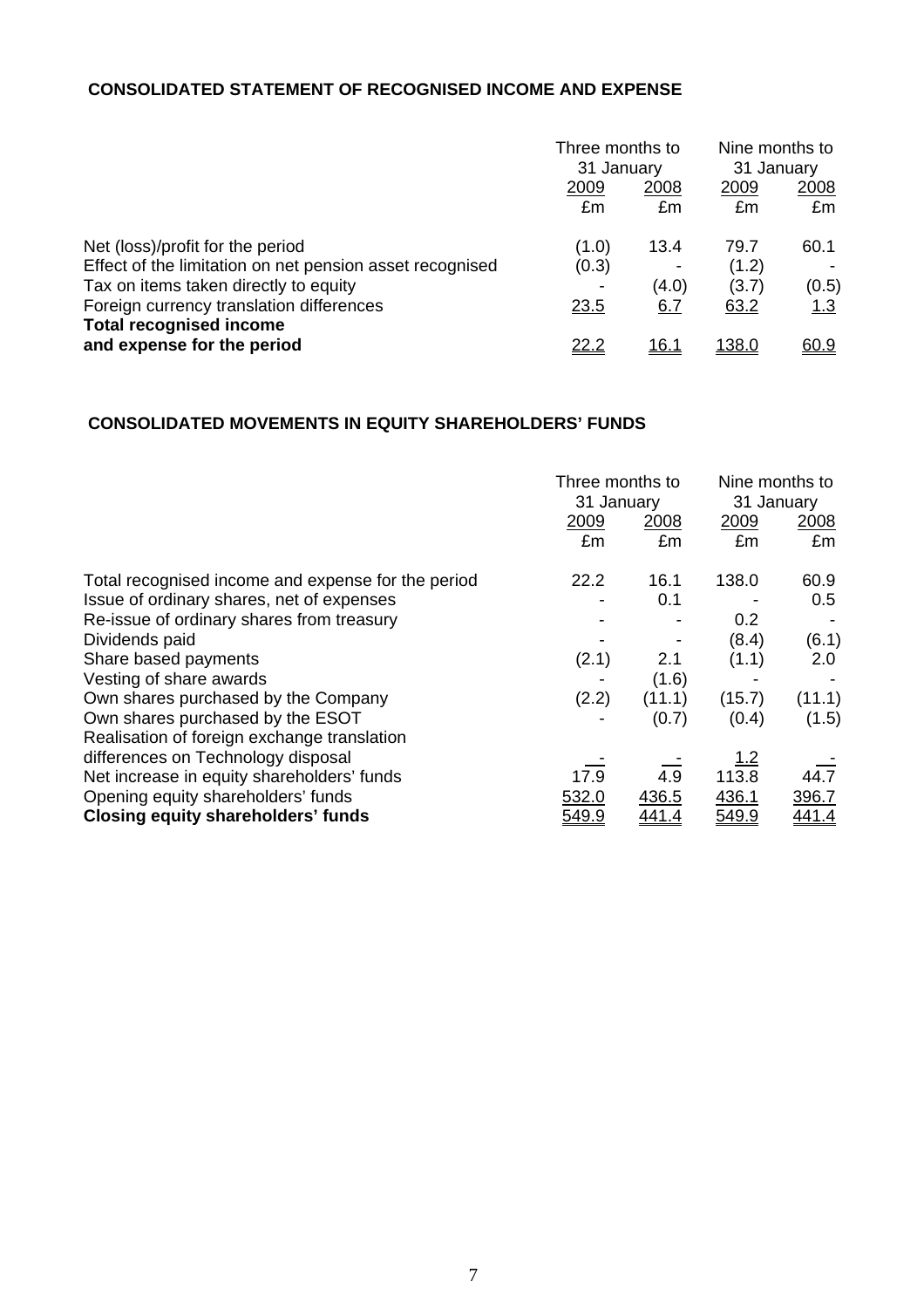# **CONSOLIDATED STATEMENT OF RECOGNISED INCOME AND EXPENSE**

|                                                                            | Three months to<br>31 January |              | Nine months to<br>31 January |             |
|----------------------------------------------------------------------------|-------------------------------|--------------|------------------------------|-------------|
|                                                                            | 2009<br>£m                    | 2008<br>£m   | 2009<br>£m                   | 2008<br>£m  |
| Net (loss)/profit for the period                                           | (1.0)                         | 13.4         | 79.7                         | 60.1        |
| Effect of the limitation on net pension asset recognised                   | (0.3)                         |              | (1.2)                        |             |
| Tax on items taken directly to equity                                      |                               | (4.0)        | (3.7)                        | (0.5)       |
| Foreign currency translation differences<br><b>Total recognised income</b> | <u>23.5</u>                   | 6.7          | 63.2                         | <u> 1.3</u> |
| and expense for the period                                                 | <u>22.2</u>                   | <u> 16.1</u> | <u> 138.0</u>                | 60.9        |

# **CONSOLIDATED MOVEMENTS IN EQUITY SHAREHOLDERS' FUNDS**

|                                                    |              | Three months to<br>31 January |            | Nine months to<br>31 January |
|----------------------------------------------------|--------------|-------------------------------|------------|------------------------------|
|                                                    | 2009         | 2008                          | 2009       | 2008                         |
|                                                    | £m           | £m                            | £m         | £m                           |
| Total recognised income and expense for the period | 22.2         | 16.1                          | 138.0      | 60.9                         |
| Issue of ordinary shares, net of expenses          |              | 0.1                           |            | 0.5                          |
| Re-issue of ordinary shares from treasury          |              |                               | 0.2        |                              |
| Dividends paid                                     |              |                               | (8.4)      | (6.1)                        |
| Share based payments                               | (2.1)        | 2.1                           | (1.1)      | 2.0                          |
| Vesting of share awards                            |              | (1.6)                         |            |                              |
| Own shares purchased by the Company                | (2.2)        | (11.1)                        | (15.7)     | (11.1)                       |
| Own shares purchased by the ESOT                   |              | (0.7)                         | (0.4)      | (1.5)                        |
| Realisation of foreign exchange translation        |              |                               |            |                              |
| differences on Technology disposal                 |              |                               | <u>1.2</u> |                              |
| Net increase in equity shareholders' funds         | 17.9         | 4.9                           | 113.8      | 44.7                         |
| Opening equity shareholders' funds                 | 532.0        | 436.5                         | 436.1      | 396.7                        |
| <b>Closing equity shareholders' funds</b>          | <u>549.9</u> | <u>441.4</u>                  | 549.9      | <u>441.4</u>                 |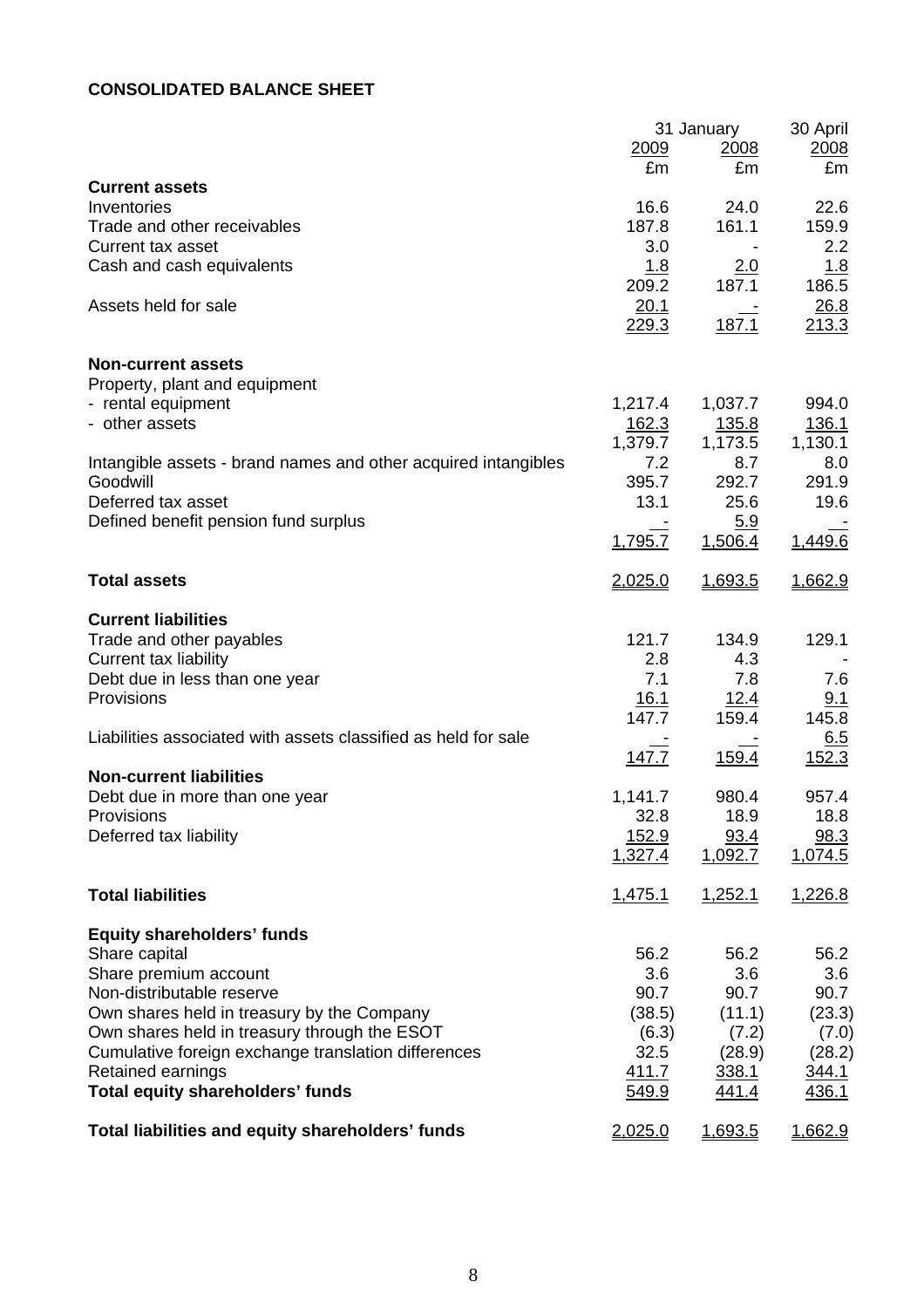# **CONSOLIDATED BALANCE SHEET**

|                                                                |                | 31 January     | 30 April     |
|----------------------------------------------------------------|----------------|----------------|--------------|
|                                                                | 2009           | 2008           | 2008         |
|                                                                | £m             | £m             | £m           |
| <b>Current assets</b>                                          |                |                |              |
| Inventories                                                    | 16.6           | 24.0           | 22.6         |
| Trade and other receivables                                    | 187.8          | 161.1          | 159.9        |
| Current tax asset                                              | 3.0            |                | 2.2          |
| Cash and cash equivalents                                      | 1.8            | <u>2.0</u>     | 1.8          |
|                                                                | 209.2          | 187.1          | 186.5        |
| Assets held for sale                                           | 20.1           |                | 26.8         |
|                                                                | 229.3          | 187.1          | 213.3        |
|                                                                |                |                |              |
| <b>Non-current assets</b>                                      |                |                |              |
| Property, plant and equipment                                  |                |                |              |
| - rental equipment                                             | 1,217.4        | 1,037.7        | 994.0        |
| - other assets                                                 | 162.3          | <u>135.8</u>   | 136.1        |
|                                                                | 1,379.7<br>7.2 | 1,173.5<br>8.7 | 1,130.1      |
| Intangible assets - brand names and other acquired intangibles |                |                | 8.0          |
| Goodwill                                                       | 395.7          | 292.7          | 291.9        |
| Deferred tax asset                                             | 13.1           | 25.6           | 19.6         |
| Defined benefit pension fund surplus                           |                | 5.9            |              |
|                                                                | 1,795.7        | 1,506.4        | 1,449.6      |
| <b>Total assets</b>                                            | <u>2,025.0</u> | 1,693.5        | 1,662.9      |
|                                                                |                |                |              |
| <b>Current liabilities</b>                                     |                |                |              |
| Trade and other payables                                       | 121.7          | 134.9          | 129.1        |
| <b>Current tax liability</b>                                   | 2.8            | 4.3            |              |
| Debt due in less than one year                                 | 7.1            | 7.8            | 7.6          |
| Provisions                                                     | <u>16.1</u>    | <u>12.4</u>    | 9.1          |
|                                                                | 147.7          | 159.4          | 145.8        |
| Liabilities associated with assets classified as held for sale |                |                | <u>6.5</u>   |
|                                                                | 147.7          | 159.4          | 152.3        |
| <b>Non-current liabilities</b>                                 |                |                |              |
| Debt due in more than one year                                 | 1,141.7        | 980.4          | 957.4        |
| <b>Provisions</b>                                              | 32.8           | 18.9           | 18.8         |
| Deferred tax liability                                         | <u> 152.9</u>  | 93.4           | 98.3         |
|                                                                | 1,327.4        | 1,092.7        | 1,074.5      |
|                                                                |                |                |              |
| <b>Total liabilities</b>                                       | 1,475.1        | 1,252.1        | 1,226.8      |
| <b>Equity shareholders' funds</b>                              |                |                |              |
| Share capital                                                  | 56.2           | 56.2           | 56.2         |
| Share premium account                                          | 3.6            | 3.6            | 3.6          |
| Non-distributable reserve                                      | 90.7           | 90.7           | 90.7         |
| Own shares held in treasury by the Company                     | (38.5)         | (11.1)         | (23.3)       |
| Own shares held in treasury through the ESOT                   | (6.3)          | (7.2)          | (7.0)        |
| Cumulative foreign exchange translation differences            | 32.5           | (28.9)         | (28.2)       |
| Retained earnings                                              | <u>411.7</u>   | 338.1          | 344.1        |
| <b>Total equity shareholders' funds</b>                        | 549.9          | <u>441.4</u>   | <u>436.1</u> |
|                                                                |                |                |              |
| Total liabilities and equity shareholders' funds               | 2,025.0        | 1,693.5        | 1,662.9      |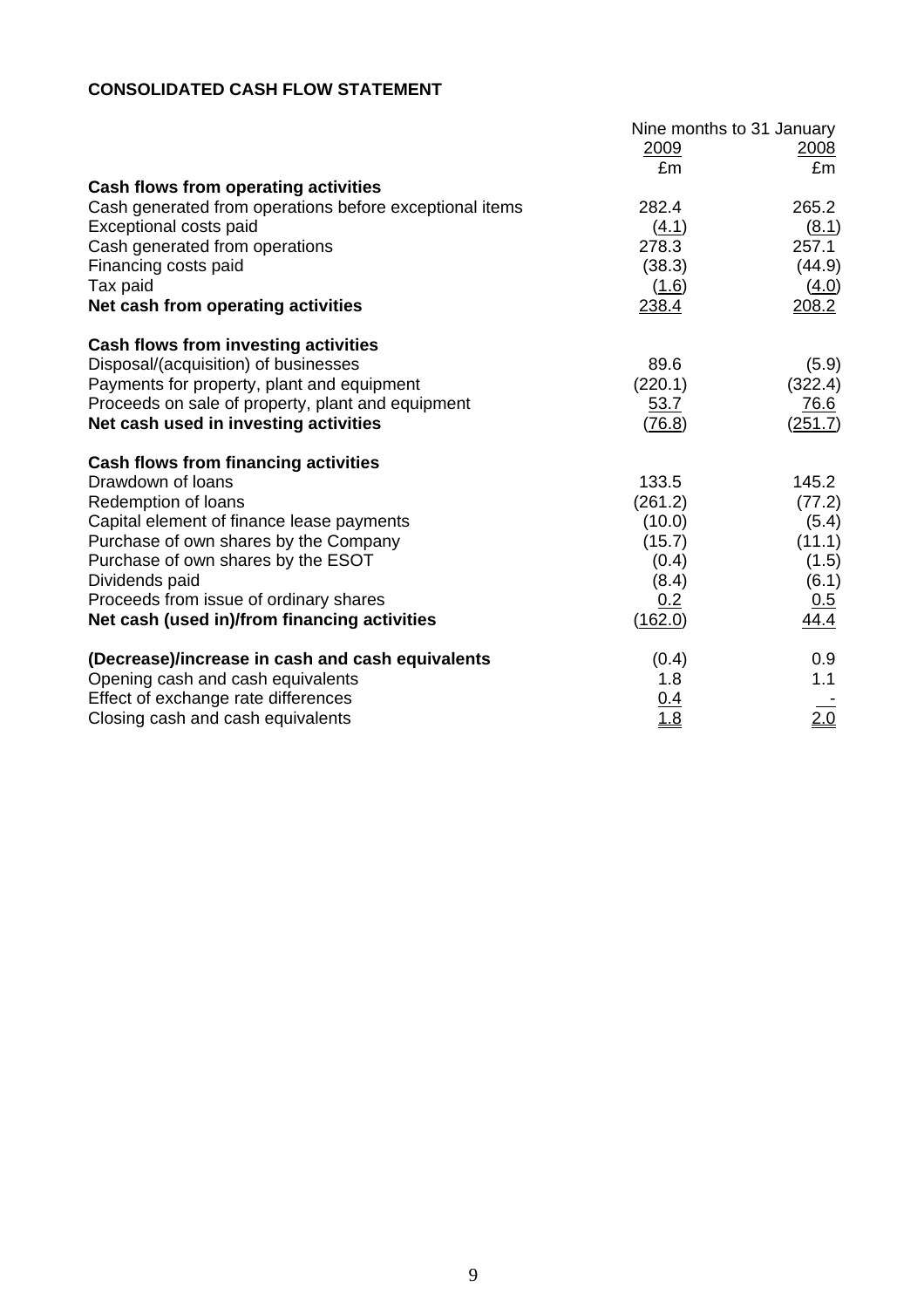# **CONSOLIDATED CASH FLOW STATEMENT**

|                                                         | Nine months to 31 January |         |  |
|---------------------------------------------------------|---------------------------|---------|--|
|                                                         | 2009                      | 2008    |  |
|                                                         | £m                        | £m      |  |
| Cash flows from operating activities                    |                           |         |  |
| Cash generated from operations before exceptional items | 282.4                     | 265.2   |  |
| Exceptional costs paid                                  | (4.1)                     | (8.1)   |  |
| Cash generated from operations                          | 278.3                     | 257.1   |  |
| Financing costs paid                                    | (38.3)                    | (44.9)  |  |
| Tax paid                                                | (1.6)                     | (4.0)   |  |
| Net cash from operating activities                      | 238.4                     | 208.2   |  |
| <b>Cash flows from investing activities</b>             |                           |         |  |
| Disposal/(acquisition) of businesses                    | 89.6                      | (5.9)   |  |
| Payments for property, plant and equipment              | (220.1)                   | (322.4) |  |
| Proceeds on sale of property, plant and equipment       | 53.7                      | 76.6    |  |
| Net cash used in investing activities                   | (76.8)                    | (251.7) |  |
| <b>Cash flows from financing activities</b>             |                           |         |  |
| Drawdown of loans                                       | 133.5                     | 145.2   |  |
| Redemption of loans                                     | (261.2)                   | (77.2)  |  |
| Capital element of finance lease payments               | (10.0)                    | (5.4)   |  |
| Purchase of own shares by the Company                   | (15.7)                    | (11.1)  |  |
| Purchase of own shares by the ESOT                      | (0.4)                     | (1.5)   |  |
| Dividends paid                                          | (8.4)                     | (6.1)   |  |
| Proceeds from issue of ordinary shares                  | 0.2                       | 0.5     |  |
| Net cash (used in)/from financing activities            | (162.0)                   | 44.4    |  |
| (Decrease)/increase in cash and cash equivalents        | (0.4)                     | 0.9     |  |
| Opening cash and cash equivalents                       | 1.8                       | 1.1     |  |
| Effect of exchange rate differences                     | $\frac{0.4}{1.8}$         |         |  |
| Closing cash and cash equivalents                       |                           | 2.0     |  |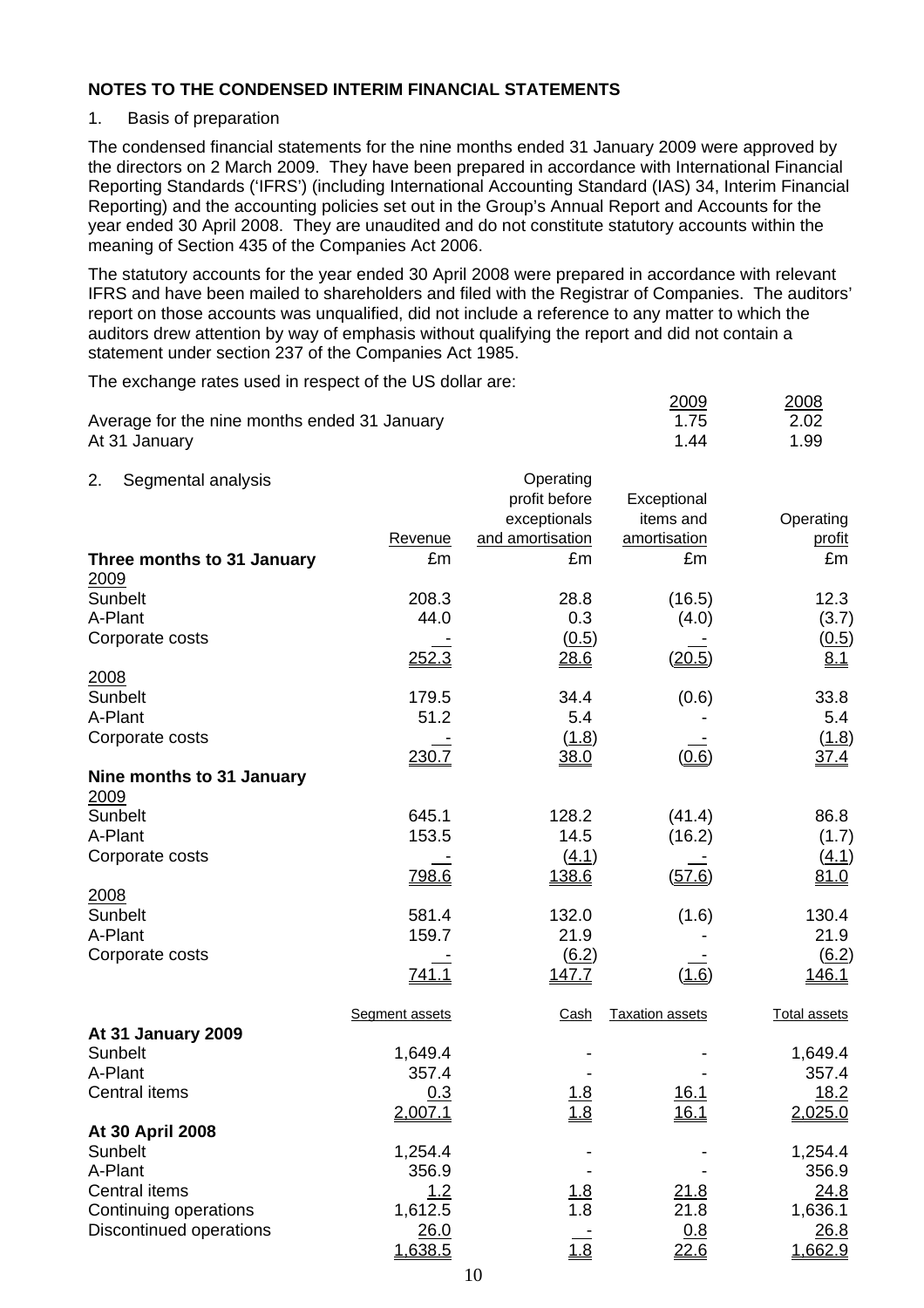#### 1. Basis of preparation

The condensed financial statements for the nine months ended 31 January 2009 were approved by the directors on 2 March 2009. They have been prepared in accordance with International Financial Reporting Standards ('IFRS') (including International Accounting Standard (IAS) 34, Interim Financial Reporting) and the accounting policies set out in the Group's Annual Report and Accounts for the year ended 30 April 2008. They are unaudited and do not constitute statutory accounts within the meaning of Section 435 of the Companies Act 2006.

The statutory accounts for the year ended 30 April 2008 were prepared in accordance with relevant IFRS and have been mailed to shareholders and filed with the Registrar of Companies. The auditors' report on those accounts was unqualified, did not include a reference to any matter to which the auditors drew attention by way of emphasis without qualifying the report and did not contain a statement under section 237 of the Companies Act 1985.

The exchange rates used in respect of the US dollar are:

| Average for the nine months ended 31 January<br>At 31 January |                  |                                            | 2009<br>1.75<br>1.44       | 2008<br>2.02<br>1.99 |
|---------------------------------------------------------------|------------------|--------------------------------------------|----------------------------|----------------------|
|                                                               |                  |                                            |                            |                      |
| 2.<br>Segmental analysis                                      |                  | Operating<br>profit before<br>exceptionals | Exceptional<br>items and   | Operating            |
|                                                               | Revenue          | and amortisation                           | amortisation               | profit               |
| Three months to 31 January<br>2009                            | £m               | £m                                         | £m                         | £m                   |
| Sunbelt                                                       | 208.3            | 28.8                                       | (16.5)                     | 12.3                 |
| A-Plant                                                       | 44.0             | 0.3                                        | (4.0)                      | (3.7)                |
| Corporate costs                                               | 252.3            | (0.5)<br>28.6                              | (20.5)                     | (0.5)<br>8.1         |
| 2008                                                          |                  |                                            |                            |                      |
| Sunbelt                                                       | 179.5            | 34.4                                       | (0.6)                      | 33.8                 |
| A-Plant                                                       | 51.2             | 5.4                                        |                            | 5.4                  |
| Corporate costs                                               | 230.7            | (1.8)<br>38.0                              | (0.6)                      | (1.8)<br><u>37.4</u> |
| Nine months to 31 January                                     |                  |                                            |                            |                      |
| 2009                                                          |                  |                                            |                            |                      |
| Sunbelt                                                       | 645.1            | 128.2                                      | (41.4)                     | 86.8                 |
| A-Plant                                                       | 153.5            | 14.5                                       | (16.2)                     | (1.7)                |
| Corporate costs                                               |                  | (4.1)                                      |                            | <u>(4.1)</u>         |
|                                                               | 798.6            | 138.6                                      | (57.6)                     | <u>81.0</u>          |
| 2008<br>Sunbelt                                               | 581.4            | 132.0                                      |                            | 130.4                |
| A-Plant                                                       | 159.7            | 21.9                                       | (1.6)                      | 21.9                 |
| Corporate costs                                               |                  | (6.2)                                      |                            | $\underline{(6.2)}$  |
|                                                               | <u>741.1</u>     | <u>147.7</u>                               | (1.6)                      | <u>146.1</u>         |
|                                                               | Segment assets   | Cash                                       | <b>Taxation assets</b>     | <b>Total assets</b>  |
| At 31 January 2009                                            |                  |                                            |                            |                      |
| Sunbelt<br>A-Plant                                            | 1,649.4<br>357.4 |                                            |                            | 1,649.4<br>357.4     |
| Central items                                                 | 0.3              |                                            |                            | 18.2                 |
|                                                               | 2,007.1          | 1.8<br>1.8                                 | <u>16.1</u><br><u>16.1</u> | 2,025.0              |
| At 30 April 2008                                              |                  |                                            |                            |                      |
| Sunbelt                                                       | 1,254.4          |                                            |                            | 1,254.4              |
| A-Plant                                                       | 356.9            |                                            |                            | 356.9                |
| <b>Central items</b>                                          | 1.2              | <u>1.8</u>                                 | <u> 21.8</u>               | 24.8                 |
| Continuing operations                                         | 1,612.5          | 1.8                                        | 21.8                       | 1,636.1              |
| <b>Discontinued operations</b>                                | 26.0             |                                            | 0.8                        | 26.8                 |
|                                                               | 1,638.5          | $\frac{1.8}{1.8}$                          | 22.6                       | 1,662.9              |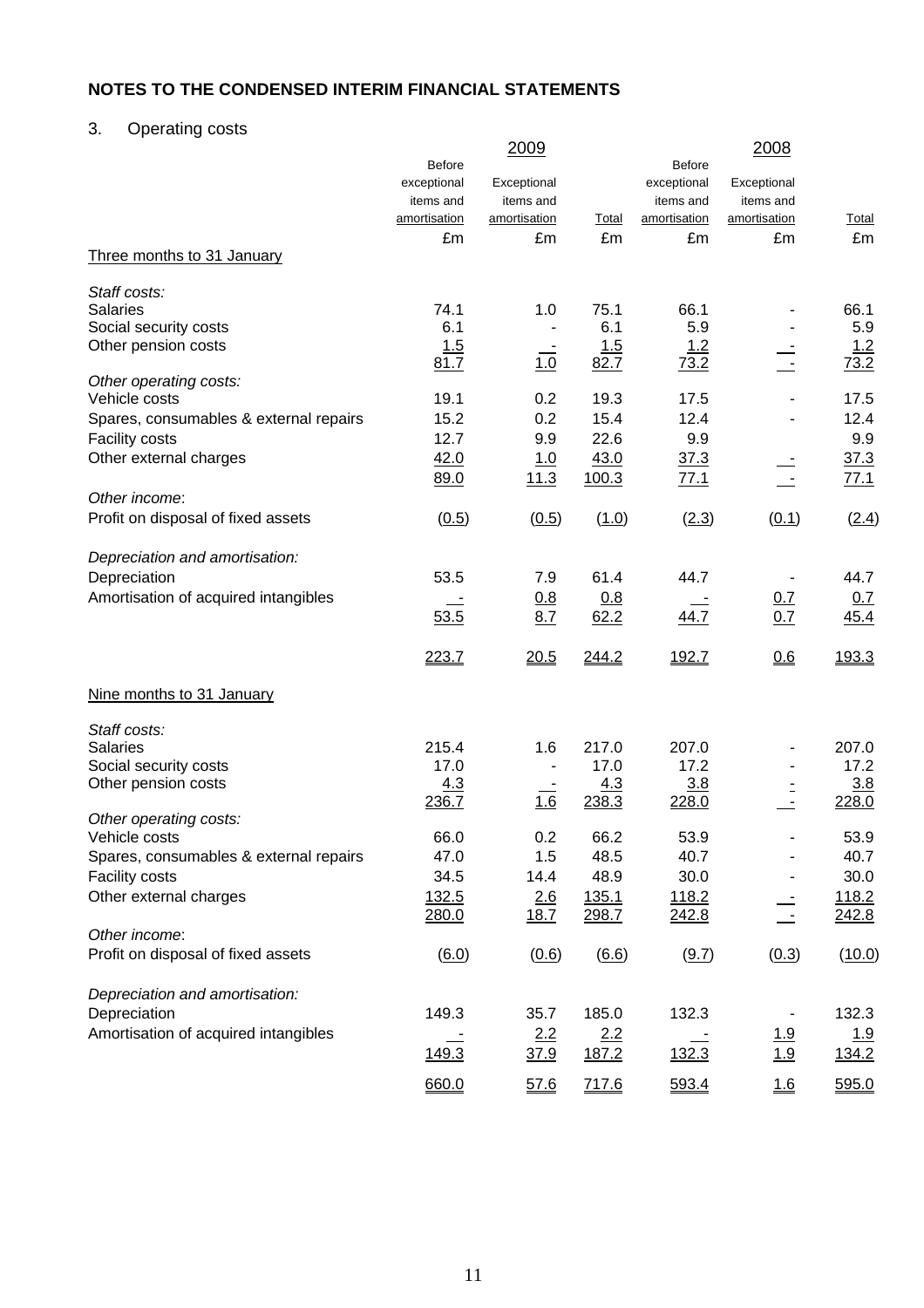# 3. Operating costs

|                                        | <b>Before</b> | 2009         |              | <b>Before</b> | 2008         |              |
|----------------------------------------|---------------|--------------|--------------|---------------|--------------|--------------|
|                                        | exceptional   | Exceptional  |              | exceptional   | Exceptional  |              |
|                                        | items and     | items and    |              | items and     | items and    |              |
|                                        | amortisation  | amortisation | <b>Total</b> | amortisation  | amortisation | <b>Total</b> |
|                                        | £m            | £m           | £m           | £m            | £m           | £m           |
| Three months to 31 January             |               |              |              |               |              |              |
| Staff costs:                           |               |              |              |               |              |              |
| <b>Salaries</b>                        | 74.1          | 1.0          | 75.1         | 66.1          |              | 66.1         |
| Social security costs                  | 6.1           |              | 6.1          | 5.9           |              | 5.9          |
| Other pension costs                    | 1.5           |              | 1.5          | <u> 1.2</u>   |              | <u> 1.2</u>  |
|                                        | 81.7          | 1.0          | 82.7         | 73.2          |              | 73.2         |
| Other operating costs:                 |               |              |              |               |              |              |
| Vehicle costs                          | 19.1          | 0.2          | 19.3         | 17.5          |              | 17.5         |
| Spares, consumables & external repairs | 15.2          | 0.2          | 15.4         | 12.4          |              | 12.4         |
| <b>Facility costs</b>                  | 12.7          | 9.9          | 22.6         | 9.9           |              | 9.9          |
| Other external charges                 | 42.0          | 1.0          | 43.0         | 37.3          |              | 37.3         |
|                                        | 89.0          | 11.3         | 100.3        | <u>77.1</u>   |              | 77.1         |
| Other income:                          |               |              |              |               |              |              |
| Profit on disposal of fixed assets     | (0.5)         | (0.5)        | (1.0)        | (2.3)         | (0.1)        | (2.4)        |
| Depreciation and amortisation:         |               |              |              |               |              |              |
| Depreciation                           | 53.5          | 7.9          | 61.4         | 44.7          |              | 44.7         |
| Amortisation of acquired intangibles   |               | 0.8          | 0.8          |               | 0.7          | 0.7          |
|                                        | 53.5          | 8.7          | 62.2         | 44.7          | 0.7          | 45.4         |
|                                        | 223.7         | 20.5         | 244.2        | 192.7         | 0.6          | 193.3        |
| Nine months to 31 January              |               |              |              |               |              |              |
| Staff costs:                           |               |              |              |               |              |              |
| <b>Salaries</b>                        | 215.4         | 1.6          | 217.0        | 207.0         |              | 207.0        |
| Social security costs                  | 17.0          |              | 17.0         | 17.2          |              | 17.2         |
| Other pension costs                    | 4.3           |              | 4.3          | 3.8           |              | 3.8          |
|                                        | 236.7         | 1.6          | 238.3        | 228.0         |              | 228.0        |
| Other operating costs:                 |               |              |              |               |              |              |
| Vehicle costs                          | 66.0          | 0.2          | 66.2         | 53.9          |              | 53.9         |
| Spares, consumables & external repairs | 47.0          | 1.5          | 48.5         | 40.7          |              | 40.7         |
| <b>Facility costs</b>                  | 34.5          | 14.4         | 48.9         | 30.0          |              | 30.0         |
| Other external charges                 | 132.5         | 2.6          | 135.1        | 118.2         |              | <u>118.2</u> |
|                                        | 280.0         | 18.7         | 298.7        | <u>242.8</u>  |              | 242.8        |
| Other income:                          |               |              |              |               |              |              |
| Profit on disposal of fixed assets     | (6.0)         | (0.6)        | (6.6)        | (9.7)         | (0.3)        | (10.0)       |
| Depreciation and amortisation:         |               |              |              |               |              |              |
| Depreciation                           | 149.3         | 35.7         | 185.0        | 132.3         |              | 132.3        |
| Amortisation of acquired intangibles   |               | 2.2          | 2.2          |               | <u>1.9</u>   | 1.9          |
|                                        | 149.3         | <u>37.9</u>  | 187.2        | 132.3         | 1.9          | <u>134.2</u> |
|                                        | 660.0         | 57.6         | 717.6        | 593.4         | 1.6          | 595.0        |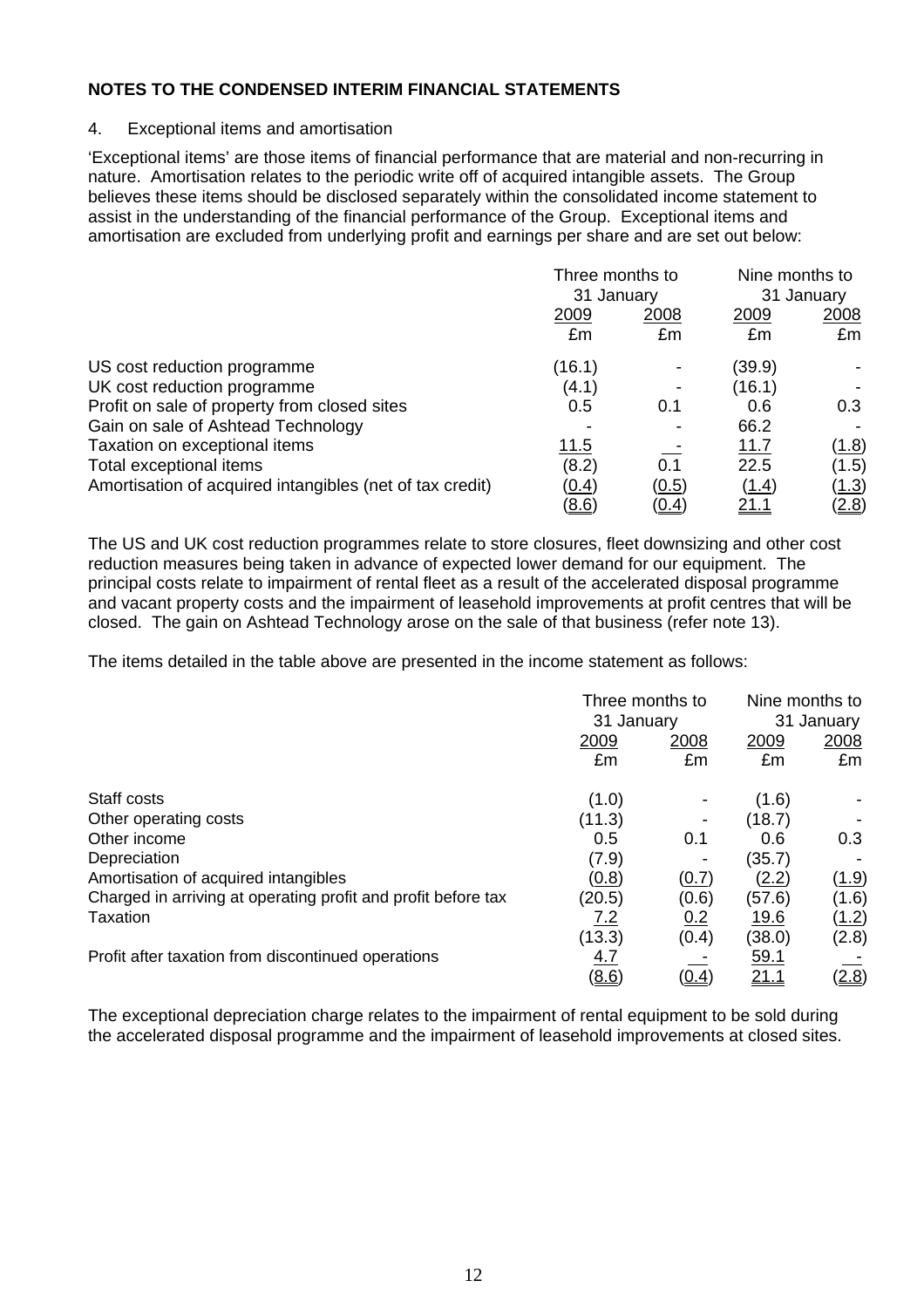#### 4. Exceptional items and amortisation

'Exceptional items' are those items of financial performance that are material and non-recurring in nature. Amortisation relates to the periodic write off of acquired intangible assets. The Group believes these items should be disclosed separately within the consolidated income statement to assist in the understanding of the financial performance of the Group.Exceptional items and amortisation are excluded from underlying profit and earnings per share and are set out below:

|                                                          | Three months to<br>31 January |              | Nine months to<br>31 January |              |
|----------------------------------------------------------|-------------------------------|--------------|------------------------------|--------------|
|                                                          | 2009<br>£m                    | 2008<br>£m   | 2009<br>£m                   | 2008<br>£m   |
| US cost reduction programme                              | (16.1)                        |              | (39.9)                       |              |
| UK cost reduction programme                              | (4.1)                         |              | (16.1)                       |              |
| Profit on sale of property from closed sites             | 0.5                           | 0.1          | 0.6                          | 0.3          |
| Gain on sale of Ashtead Technology                       |                               |              | 66.2                         |              |
| Taxation on exceptional items                            | <u>11.5</u>                   |              | 11.7                         | <u>(1.8)</u> |
| Total exceptional items                                  | (8.2)                         | 0.1          | 22.5                         | (1.5)        |
| Amortisation of acquired intangibles (net of tax credit) | (0.4)                         | <u>(0.5)</u> | (1.4)                        | <u>(1.3)</u> |
|                                                          | (8.6)                         | <u>(0.4)</u> | <u>21.1</u>                  | <u>(2.8)</u> |

The US and UK cost reduction programmes relate to store closures, fleet downsizing and other cost reduction measures being taken in advance of expected lower demand for our equipment. The principal costs relate to impairment of rental fleet as a result of the accelerated disposal programme and vacant property costs and the impairment of leasehold improvements at profit centres that will be closed. The gain on Ashtead Technology arose on the sale of that business (refer note 13).

The items detailed in the table above are presented in the income statement as follows:

|                                                               | Three months to<br>31 January |              | Nine months to<br>31 January |              |
|---------------------------------------------------------------|-------------------------------|--------------|------------------------------|--------------|
|                                                               | 2009                          | 2008         | 2009                         | 2008         |
|                                                               | £m                            | £m           | £m                           | £m           |
| Staff costs                                                   | (1.0)                         |              | (1.6)                        |              |
| Other operating costs                                         | (11.3)                        |              | (18.7)                       |              |
| Other income                                                  | 0.5                           | 0.1          | 0.6                          | 0.3          |
| Depreciation                                                  | (7.9)                         |              | (35.7)                       |              |
| Amortisation of acquired intangibles                          | (0.8)                         | (0.7)        | <u>(2.2)</u>                 | (1.9)        |
| Charged in arriving at operating profit and profit before tax | (20.5)                        | (0.6)        | (57.6)                       | (1.6)        |
| Taxation                                                      | <u>7.2</u>                    | 0.2          | <u>19.6</u>                  | <u>(1.2)</u> |
|                                                               | (13.3)                        | (0.4)        | (38.0)                       | (2.8)        |
| Profit after taxation from discontinued operations            | <u>4.7</u>                    |              | <u>59.1</u>                  |              |
|                                                               | (8.6)                         | <u>(0.4)</u> | 21.1                         | (2.8)        |

The exceptional depreciation charge relates to the impairment of rental equipment to be sold during the accelerated disposal programme and the impairment of leasehold improvements at closed sites.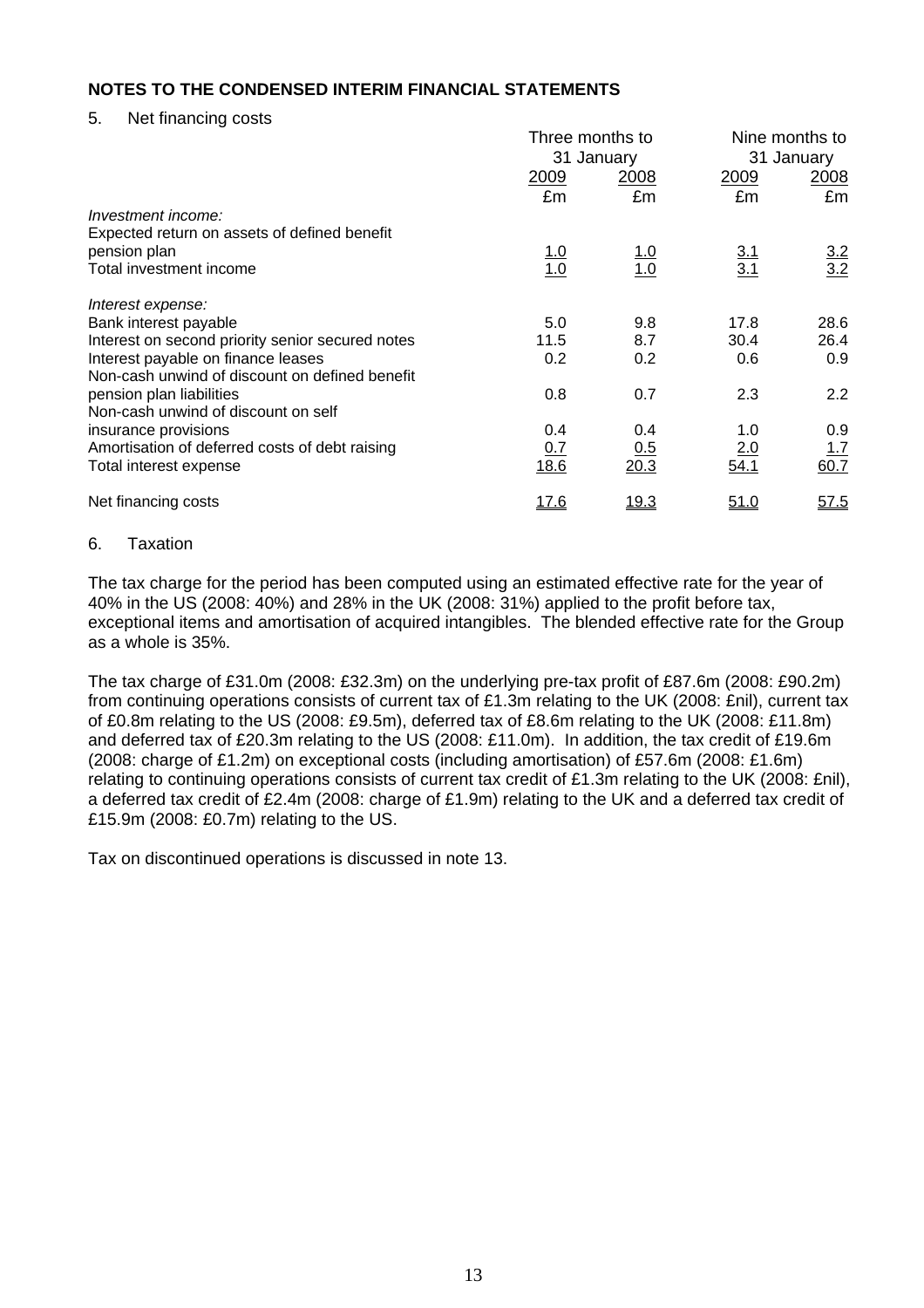5. Net financing costs

|                                                  | Three months to   |                   |                   | Nine months to    |  |
|--------------------------------------------------|-------------------|-------------------|-------------------|-------------------|--|
|                                                  | 31 January        |                   |                   | 31 January        |  |
|                                                  | 2009              | 2008              | <u>2009</u>       | 2008              |  |
|                                                  | £m                | £m                | £m                | £m                |  |
| Investment income:                               |                   |                   |                   |                   |  |
| Expected return on assets of defined benefit     |                   |                   |                   |                   |  |
| pension plan                                     |                   |                   |                   |                   |  |
| Total investment income                          | $\frac{1.0}{1.0}$ | <u>1.0</u><br>1.0 | $\frac{3.1}{3.1}$ | $\frac{3.2}{3.2}$ |  |
| Interest expense:                                |                   |                   |                   |                   |  |
| Bank interest payable                            | 5.0               | 9.8               | 17.8              | 28.6              |  |
| Interest on second priority senior secured notes | 11.5              | 8.7               | 30.4              | 26.4              |  |
| Interest payable on finance leases               | 0.2               | 0.2               | 0.6               | 0.9               |  |
| Non-cash unwind of discount on defined benefit   |                   |                   |                   |                   |  |
| pension plan liabilities                         | 0.8               | 0.7               | 2.3               | 2.2               |  |
| Non-cash unwind of discount on self              |                   |                   |                   |                   |  |
| insurance provisions                             | 0.4               | 0.4               | 1.0               | 0.9               |  |
| Amortisation of deferred costs of debt raising   | <u>0.7</u>        | <u>0.5</u>        | 2.0               | 1.7               |  |
| Total interest expense                           | 18.6              | 20.3              | 54.1              | 60.7              |  |
| Net financing costs                              | <u> 17.6</u>      | <u>19.3</u>       | <u>51.0</u>       | <u>57.5</u>       |  |

#### 6. Taxation

The tax charge for the period has been computed using an estimated effective rate for the year of 40% in the US (2008: 40%) and 28% in the UK (2008: 31%) applied to the profit before tax, exceptional items and amortisation of acquired intangibles. The blended effective rate for the Group as a whole is 35%.

The tax charge of £31.0m (2008: £32.3m) on the underlying pre-tax profit of £87.6m (2008: £90.2m) from continuing operations consists of current tax of £1.3m relating to the UK (2008: £nil), current tax of £0.8m relating to the US (2008: £9.5m), deferred tax of £8.6m relating to the UK (2008: £11.8m) and deferred tax of £20.3m relating to the US (2008: £11.0m). In addition, the tax credit of £19.6m (2008: charge of £1.2m) on exceptional costs (including amortisation) of £57.6m (2008: £1.6m) relating to continuing operations consists of current tax credit of £1.3m relating to the UK (2008: £nil), a deferred tax credit of £2.4m (2008: charge of £1.9m) relating to the UK and a deferred tax credit of £15.9m (2008: £0.7m) relating to the US.

Tax on discontinued operations is discussed in note 13.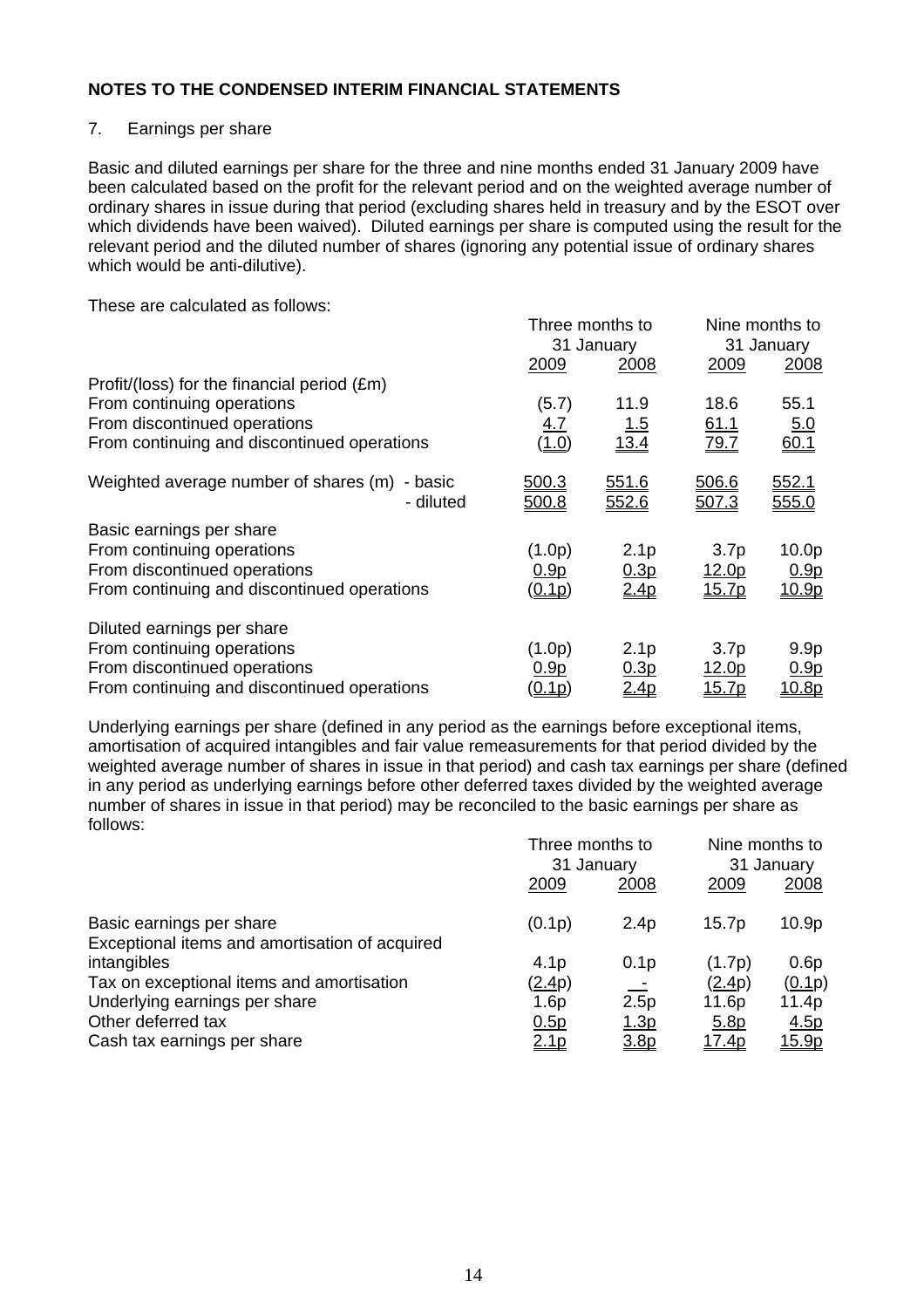## 7. Earnings per share

Basic and diluted earnings per share for the three and nine months ended 31 January 2009 have been calculated based on the profit for the relevant period and on the weighted average number of ordinary shares in issue during that period (excluding shares held in treasury and by the ESOT over which dividends have been waived). Diluted earnings per share is computed using the result for the relevant period and the diluted number of shares (ignoring any potential issue of ordinary shares which would be anti-dilutive).

These are calculated as follows:

|                                                               |                       | Three months to  |                   | Nine months to        |
|---------------------------------------------------------------|-----------------------|------------------|-------------------|-----------------------|
|                                                               | 31 January            |                  |                   | 31 January            |
|                                                               | 2009                  | 2008             | <u>2009</u>       | <u>2008</u>           |
| Profit/(loss) for the financial period (£m)                   |                       |                  |                   |                       |
| From continuing operations                                    | (5.7)                 | 11.9             | 18.6              | 55.1                  |
| From discontinued operations                                  | 4.7                   | <u>1.5</u>       | <u>61.1</u>       | 5.0                   |
| From continuing and discontinued operations                   | <u>(1.0)</u>          | 13.4             | 79.7              | 60.1                  |
| Weighted average number of shares (m)<br>- basic<br>- diluted | 500.3<br><u>500.8</u> | 551.6<br>552.6   | 506.6<br>507.3    | <u>552.1</u><br>555.0 |
| Basic earnings per share                                      |                       |                  |                   |                       |
| From continuing operations                                    | (1.0p)                | 2.1 <sub>p</sub> | 3.7 <sub>p</sub>  | 10.0 <sub>p</sub>     |
| From discontinued operations                                  | 0.9 <sub>p</sub>      | 0.3p             | <u>12.0p</u>      | 0.9 <sub>p</sub>      |
| From continuing and discontinued operations                   | (0.1p)                | 2.4p             | <u>15.7p</u>      | <u>10.9p</u>          |
| Diluted earnings per share                                    |                       |                  |                   |                       |
| From continuing operations                                    | (1.0p)                | 2.1 <sub>p</sub> | 3.7 <sub>p</sub>  | 9.9 <sub>p</sub>      |
| From discontinued operations                                  | 0.9 <sub>p</sub>      | 0.3p             | <u>12.0p</u>      | 0.9 <sub>p</sub>      |
| From continuing and discontinued operations                   | (0.1p)                | <u>2.4p</u>      | 15.7 <sub>p</sub> | 10.8p                 |

Underlying earnings per share (defined in any period as the earnings before exceptional items, amortisation of acquired intangibles and fair value remeasurements for that period divided by the weighted average number of shares in issue in that period) and cash tax earnings per share (defined in any period as underlying earnings before other deferred taxes divided by the weighted average number of shares in issue in that period) may be reconciled to the basic earnings per share as follows:

|                                                                            | Three months to<br>31 January |                  | Nine months to<br>31 January |                   |
|----------------------------------------------------------------------------|-------------------------------|------------------|------------------------------|-------------------|
|                                                                            | 2009                          | 2008             | 2009                         | 2008              |
| Basic earnings per share<br>Exceptional items and amortisation of acquired | (0.1p)                        | 2.4 <sub>p</sub> | 15.7p                        | 10.9 <sub>p</sub> |
| intangibles                                                                | 4.1 <sub>p</sub>              | 0.1 <sub>p</sub> | (1.7p)                       | 0.6p              |
| Tax on exceptional items and amortisation                                  | (2.4p)                        |                  | (2.4p)                       | (0.1p)            |
| Underlying earnings per share                                              | 1.6p                          | 2.5p             | 11.6p                        | 11.4p             |
| Other deferred tax                                                         | 0.5p                          | <u>1.3p</u>      | 5.8p                         | 4.5p              |
| Cash tax earnings per share                                                | <u>2.1p</u>                   | 3.8p             | <u>17.4p</u>                 | <u>15.9p</u>      |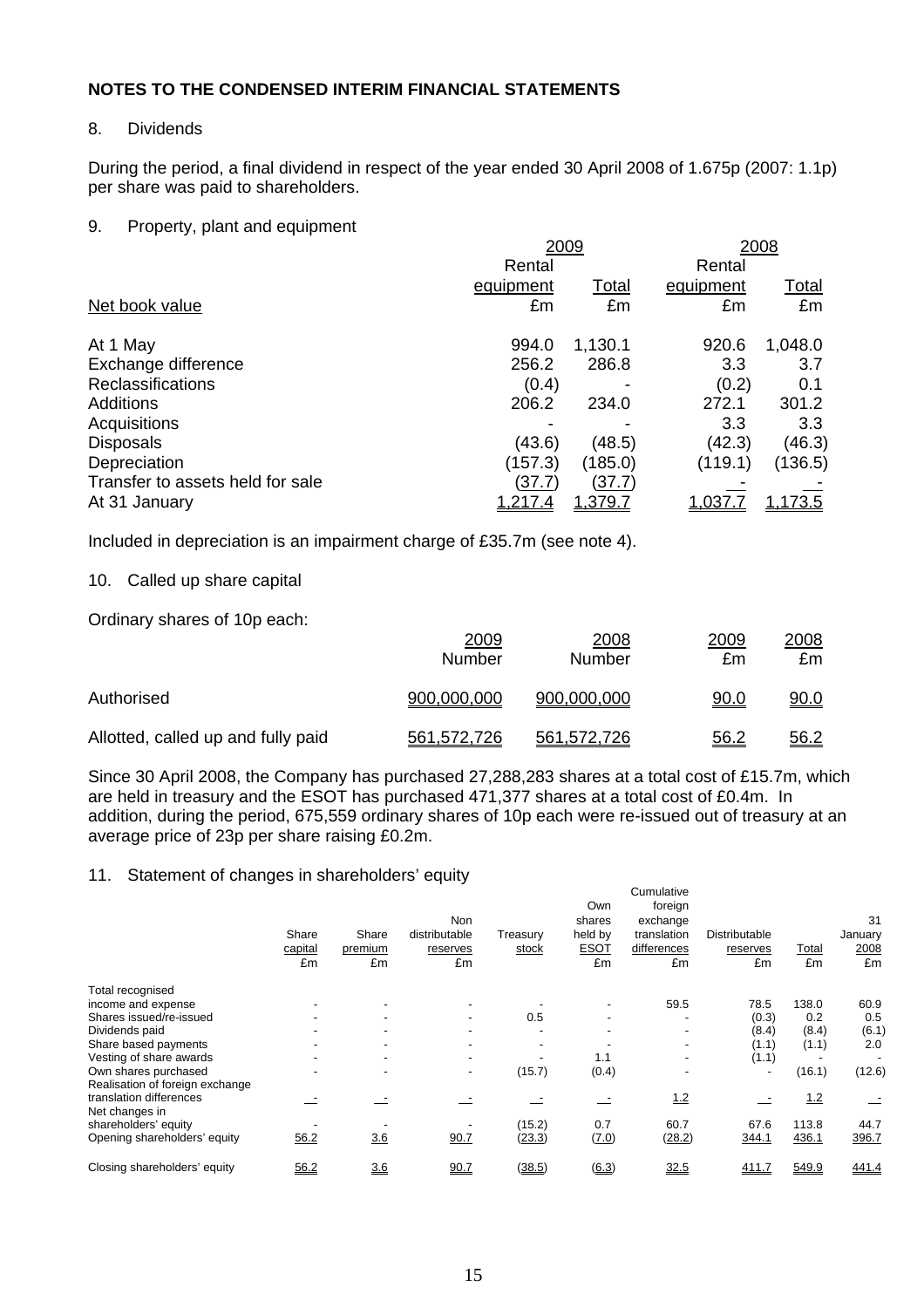## 8. Dividends

During the period, a final dividend in respect of the year ended 30 April 2008 of 1.675p (2007: 1.1p) per share was paid to shareholders.

## 9. Property, plant and equipment

|                                  | 2009           |                |           | 2008             |
|----------------------------------|----------------|----------------|-----------|------------------|
|                                  | Rental         |                | Rental    |                  |
|                                  | equipment      | <b>Total</b>   | equipment | <u>Total</u>     |
| Net book value                   | £m             | £m             | £m        | £m               |
| At 1 May                         | 994.0          | 1,130.1        | 920.6     | 1,048.0          |
| Exchange difference              | 256.2          | 286.8          | 3.3       | 3.7              |
| <b>Reclassifications</b>         | (0.4)          |                | (0.2)     | 0.1              |
| <b>Additions</b>                 | 206.2          | 234.0          | 272.1     | 301.2            |
| Acquisitions                     |                |                | 3.3       | 3.3 <sub>2</sub> |
| <b>Disposals</b>                 | (43.6)         | (48.5)         | (42.3)    | (46.3)           |
| Depreciation                     | (157.3)        | (185.0)        | (119.1)   | (136.5)          |
| Transfer to assets held for sale | (37.7)         | (37.7)         |           |                  |
| At 31 January                    | <u>1,217.4</u> | <u>1,379.7</u> | 1.037.    | <u>1,173.5</u>   |

Included in depreciation is an impairment charge of £35.7m (see note 4).

## 10. Called up share capital

Ordinary shares of 10p each:

|                                    | 2009<br>Number | 2008<br>Number | 2009<br>£m  | <u>2008</u><br>£m |
|------------------------------------|----------------|----------------|-------------|-------------------|
| Authorised                         | 900,000,000    | 900,000,000    | 90.0        | 90.0              |
| Allotted, called up and fully paid | 561,572,726    | 561,572,726    | <u>56.2</u> | 56.2              |

Since 30 April 2008, the Company has purchased 27,288,283 shares at a total cost of £15.7m, which are held in treasury and the ESOT has purchased 471,377 shares at a total cost of £0.4m. In addition, during the period, 675,559 ordinary shares of 10p each were re-issued out of treasury at an average price of 23p per share raising £0.2m.

## 11. Statement of changes in shareholders' equity

|                                 | Share<br>capital<br>£m | Share<br>premium<br>£m | <b>Non</b><br>distributable<br>reserves<br>£m | Treasury<br>stock        | Own<br>shares<br>held by<br><b>ESOT</b><br>£m | foreign<br>exchange<br>translation<br>differences<br>£m | Distributable<br>reserves<br>£m | Total<br>£m | 31<br>January<br>2008<br>£m |
|---------------------------------|------------------------|------------------------|-----------------------------------------------|--------------------------|-----------------------------------------------|---------------------------------------------------------|---------------------------------|-------------|-----------------------------|
| Total recognised                |                        |                        |                                               |                          |                                               |                                                         |                                 |             |                             |
| income and expense              |                        |                        |                                               |                          |                                               | 59.5                                                    | 78.5                            | 138.0       | 60.9                        |
| Shares issued/re-issued         |                        |                        |                                               | 0.5                      |                                               |                                                         | (0.3)                           | 0.2         | 0.5                         |
| Dividends paid                  |                        |                        |                                               | $\overline{\phantom{a}}$ |                                               | $\overline{\phantom{a}}$                                | (8.4)                           | (8.4)       | (6.1)                       |
| Share based payments            |                        |                        |                                               | $\overline{\phantom{a}}$ |                                               | $\overline{\phantom{a}}$                                | (1.1)                           | (1.1)       | 2.0                         |
| Vesting of share awards         |                        |                        |                                               |                          | 1.1                                           | $\overline{\phantom{a}}$                                | (1.1)                           |             | $\overline{\phantom{a}}$    |
| Own shares purchased            |                        |                        |                                               | (15.7)                   | (0.4)                                         |                                                         | $\overline{\phantom{0}}$        | (16.1)      | (12.6)                      |
| Realisation of foreign exchange |                        |                        |                                               |                          |                                               |                                                         |                                 |             |                             |
| translation differences         |                        |                        |                                               |                          |                                               | 12                                                      |                                 | <u>1.2</u>  |                             |
| Net changes in                  |                        |                        |                                               |                          |                                               |                                                         |                                 |             |                             |
| shareholders' equity            |                        |                        |                                               | (15.2)                   | 0.7                                           | 60.7                                                    | 67.6                            | 113.8       | 44.7                        |
| Opening shareholders' equity    | 56.2                   | 3.6                    | 90.7                                          | (23.3)                   | (7.0)                                         | (28.2)                                                  | 344.1                           | 436.1       | 396.7                       |
| Closing shareholders' equity    | 56.2                   | 3.6                    | 90.7                                          | (38.5)                   | (6.3)                                         | 32.5                                                    | <u>411.7</u>                    | 549.9       | 441.4                       |

Cumulative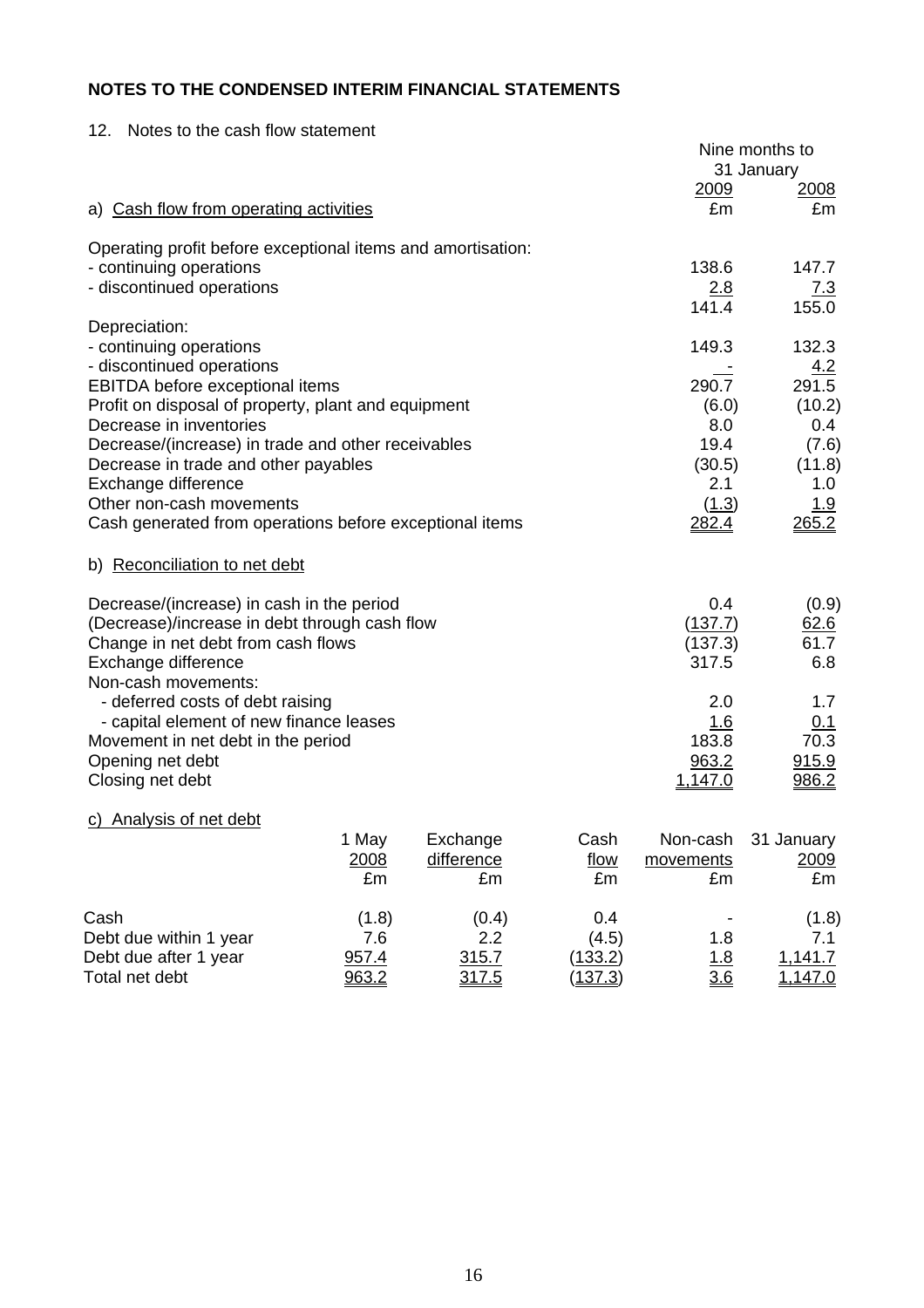| Notes to the cash flow statement<br>12.                                                                                                                 |                     |                              |                    |                                    | Nine months to<br>31 January    |
|---------------------------------------------------------------------------------------------------------------------------------------------------------|---------------------|------------------------------|--------------------|------------------------------------|---------------------------------|
| a) Cash flow from operating activities                                                                                                                  |                     |                              |                    | 2009<br>£m                         | <u> 2008 </u><br>£m             |
| Operating profit before exceptional items and amortisation:                                                                                             |                     |                              |                    |                                    |                                 |
| - continuing operations<br>- discontinued operations                                                                                                    |                     |                              |                    | 138.6<br>2.8                       | 147.7<br><u>7.3</u>             |
|                                                                                                                                                         |                     |                              |                    | 141.4                              | 155.0                           |
| Depreciation:<br>- continuing operations                                                                                                                |                     |                              |                    | 149.3                              | 132.3                           |
| - discontinued operations<br>EBITDA before exceptional items                                                                                            |                     |                              |                    | 290.7                              | 4.2<br>291.5                    |
| Profit on disposal of property, plant and equipment                                                                                                     |                     |                              |                    | (6.0)                              | (10.2)                          |
| Decrease in inventories                                                                                                                                 |                     |                              |                    | 8.0                                | 0.4                             |
| Decrease/(increase) in trade and other receivables                                                                                                      |                     |                              |                    | 19.4                               | (7.6)                           |
| Decrease in trade and other payables                                                                                                                    |                     |                              |                    | (30.5)                             | (11.8)                          |
| Exchange difference<br>Other non-cash movements                                                                                                         |                     |                              |                    | 2.1<br>(1.3)                       | 1.0<br>1.9                      |
| Cash generated from operations before exceptional items                                                                                                 |                     |                              |                    | <u> 282.4</u>                      | 265.2                           |
| b) Reconciliation to net debt                                                                                                                           |                     |                              |                    |                                    |                                 |
| Decrease/(increase) in cash in the period<br>(Decrease)/increase in debt through cash flow<br>Change in net debt from cash flows<br>Exchange difference |                     |                              |                    | 0.4<br>(137.7)<br>(137.3)<br>317.5 | (0.9)<br>62.6<br>61.7<br>6.8    |
| Non-cash movements:<br>- deferred costs of debt raising                                                                                                 |                     |                              |                    | 2.0                                | 1.7                             |
| - capital element of new finance leases<br>Movement in net debt in the period                                                                           |                     |                              |                    | 1.6<br>183.8                       | 0.1<br>70.3                     |
| Opening net debt<br>Closing net debt                                                                                                                    |                     |                              |                    | 963.2<br><u>1.147.0</u>            | 915.9<br>986.2                  |
| Analysis of net debt                                                                                                                                    |                     |                              |                    |                                    |                                 |
|                                                                                                                                                         | 1 May<br>2008<br>£m | Exchange<br>difference<br>£m | Cash<br>flow<br>£m | Non-cash<br>movements<br>£m        | 31 January<br><u>2009</u><br>£m |
| Cash<br>Debt due within 1 year                                                                                                                          | (1.8)<br>7.6        | (0.4)<br>2.2                 | 0.4<br>(4.5)       | 1.8                                | (1.8)<br>7.1                    |

Debt due after 1 year  $\frac{957.4}{1.315.7}$  (133.2) 1.8 1,141.7 Total net debt 963.2 317.5 (137.3) 3.6 1,147.0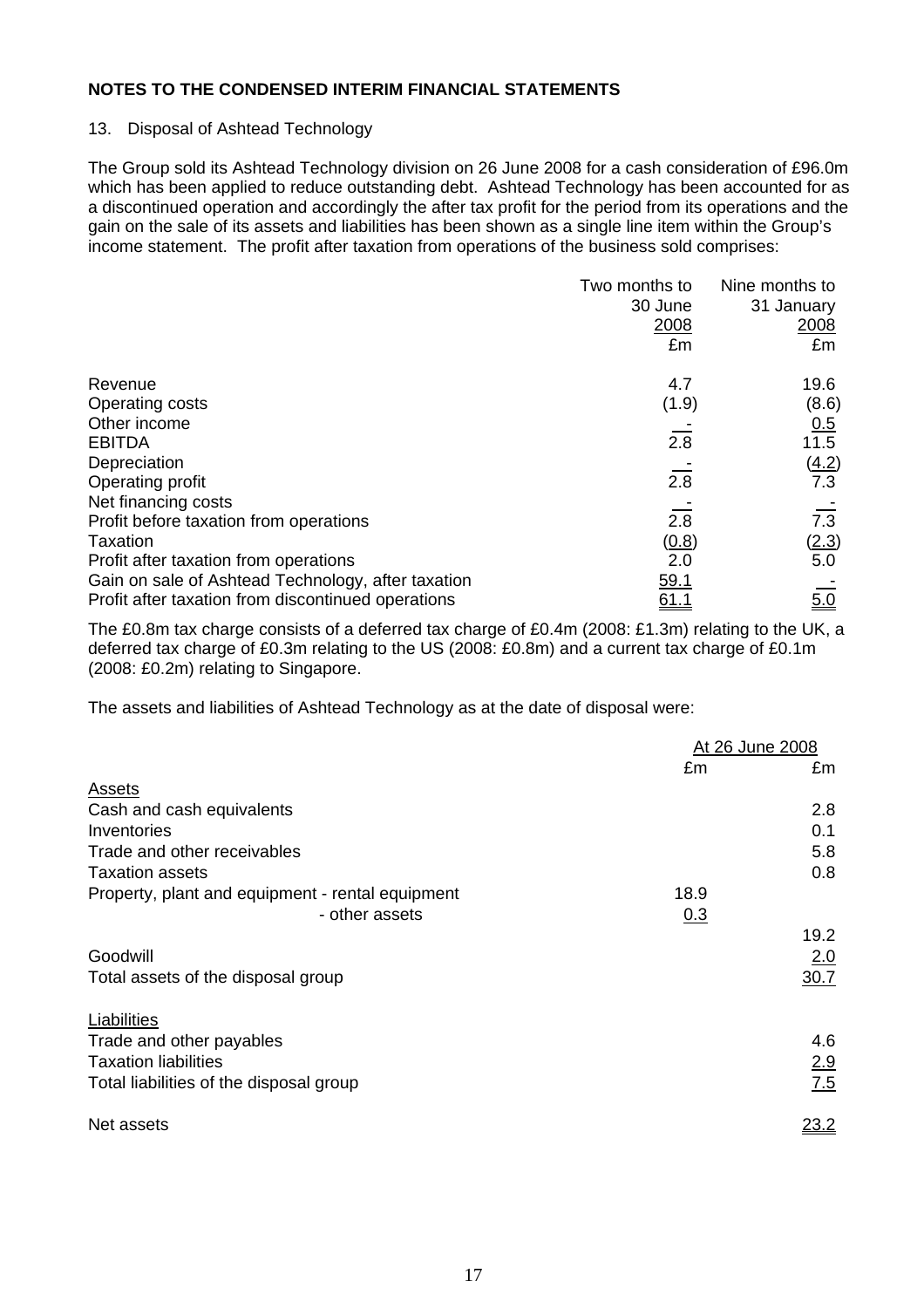## 13. Disposal of Ashtead Technology

The Group sold its Ashtead Technology division on 26 June 2008 for a cash consideration of £96.0m which has been applied to reduce outstanding debt. Ashtead Technology has been accounted for as a discontinued operation and accordingly the after tax profit for the period from its operations and the gain on the sale of its assets and liabilities has been shown as a single line item within the Group's income statement. The profit after taxation from operations of the business sold comprises:

|                                                    | Two months to<br>30 June | Nine months to<br>31 January |
|----------------------------------------------------|--------------------------|------------------------------|
|                                                    | 2008                     | 2008                         |
|                                                    | £m                       | £m                           |
| Revenue                                            | 4.7                      | 19.6                         |
| Operating costs                                    | (1.9)                    | (8.6)                        |
| Other income                                       |                          | 0.5                          |
| <b>EBITDA</b>                                      | 2.8                      | 11.5                         |
| Depreciation                                       |                          | (4.2)                        |
| Operating profit                                   | 2.8                      | 7.3                          |
| Net financing costs                                |                          |                              |
| Profit before taxation from operations             | 2.8                      | 7.3                          |
| Taxation                                           | (0.8)                    | <u>(2.3)</u>                 |
| Profit after taxation from operations              | 2.0                      | 5.0                          |
| Gain on sale of Ashtead Technology, after taxation | 59.1                     |                              |
| Profit after taxation from discontinued operations | <u>61.1</u>              | 5.0                          |

The £0.8m tax charge consists of a deferred tax charge of £0.4m (2008: £1.3m) relating to the UK, a deferred tax charge of £0.3m relating to the US (2008: £0.8m) and a current tax charge of £0.1m (2008: £0.2m) relating to Singapore.

The assets and liabilities of Ashtead Technology as at the date of disposal were:

|                                                  | At 26 June 2008 |             |
|--------------------------------------------------|-----------------|-------------|
|                                                  | £m              | £m          |
| <b>Assets</b>                                    |                 |             |
| Cash and cash equivalents                        |                 | 2.8         |
| Inventories                                      |                 | 0.1         |
| Trade and other receivables                      |                 | 5.8         |
| <b>Taxation assets</b>                           |                 | 0.8         |
| Property, plant and equipment - rental equipment | 18.9            |             |
| - other assets                                   | 0.3             |             |
| Goodwill                                         |                 | 19.2<br>2.0 |
| Total assets of the disposal group               |                 | 30.7        |
| Liabilities                                      |                 |             |
| Trade and other payables                         |                 | 4.6         |
| <b>Taxation liabilities</b>                      |                 | 2.9         |
| Total liabilities of the disposal group          |                 | 7.5         |
| Net assets                                       |                 | 23.2        |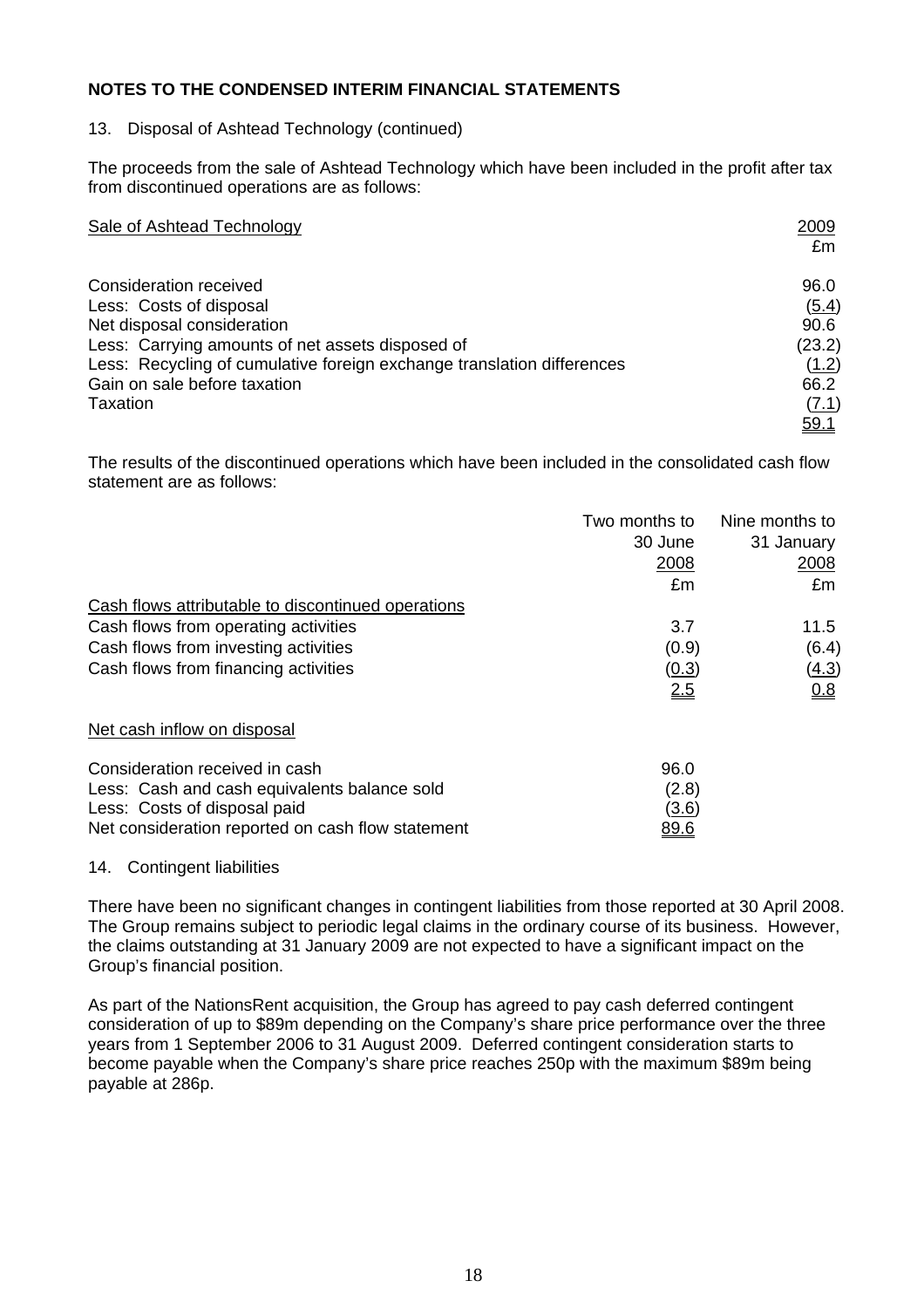## 13. Disposal of Ashtead Technology (continued)

The proceeds from the sale of Ashtead Technology which have been included in the profit after tax from discontinued operations are as follows:

| <b>Sale of Ashtead Technology</b>                                      | 2009<br>£m  |
|------------------------------------------------------------------------|-------------|
| Consideration received                                                 | 96.0        |
| Less: Costs of disposal                                                | (5.4)       |
| Net disposal consideration                                             | 90.6        |
| Less: Carrying amounts of net assets disposed of                       | (23.2)      |
| Less: Recycling of cumulative foreign exchange translation differences | (1.2)       |
| Gain on sale before taxation                                           | 66.2        |
| Taxation                                                               | (7.1)       |
|                                                                        | <u>59.1</u> |

The results of the discontinued operations which have been included in the consolidated cash flow statement are as follows:

|                                                    | Two months to | Nine months to |
|----------------------------------------------------|---------------|----------------|
|                                                    | 30 June       | 31 January     |
|                                                    | 2008          | <u> 2008 </u>  |
|                                                    | £m            | £m             |
| Cash flows attributable to discontinued operations |               |                |
| Cash flows from operating activities               | 3.7           | 11.5           |
| Cash flows from investing activities               | (0.9)         | (6.4)          |
| Cash flows from financing activities               | (0.3)         | <u>(4.3)</u>   |
|                                                    | 2.5           | <u>0.8</u>     |
| Net cash inflow on disposal                        |               |                |
| Consideration received in cash                     | 96.0          |                |
| Less: Cash and cash equivalents balance sold       | (2.8)         |                |
| Less: Costs of disposal paid                       | <u>(3.6)</u>  |                |
| Net consideration reported on cash flow statement  | <u>89.6</u>   |                |

#### 14. Contingent liabilities

There have been no significant changes in contingent liabilities from those reported at 30 April 2008. The Group remains subject to periodic legal claims in the ordinary course of its business. However, the claims outstanding at 31 January 2009 are not expected to have a significant impact on the Group's financial position.

As part of the NationsRent acquisition, the Group has agreed to pay cash deferred contingent consideration of up to \$89m depending on the Company's share price performance over the three years from 1 September 2006 to 31 August 2009. Deferred contingent consideration starts to become payable when the Company's share price reaches 250p with the maximum \$89m being payable at 286p.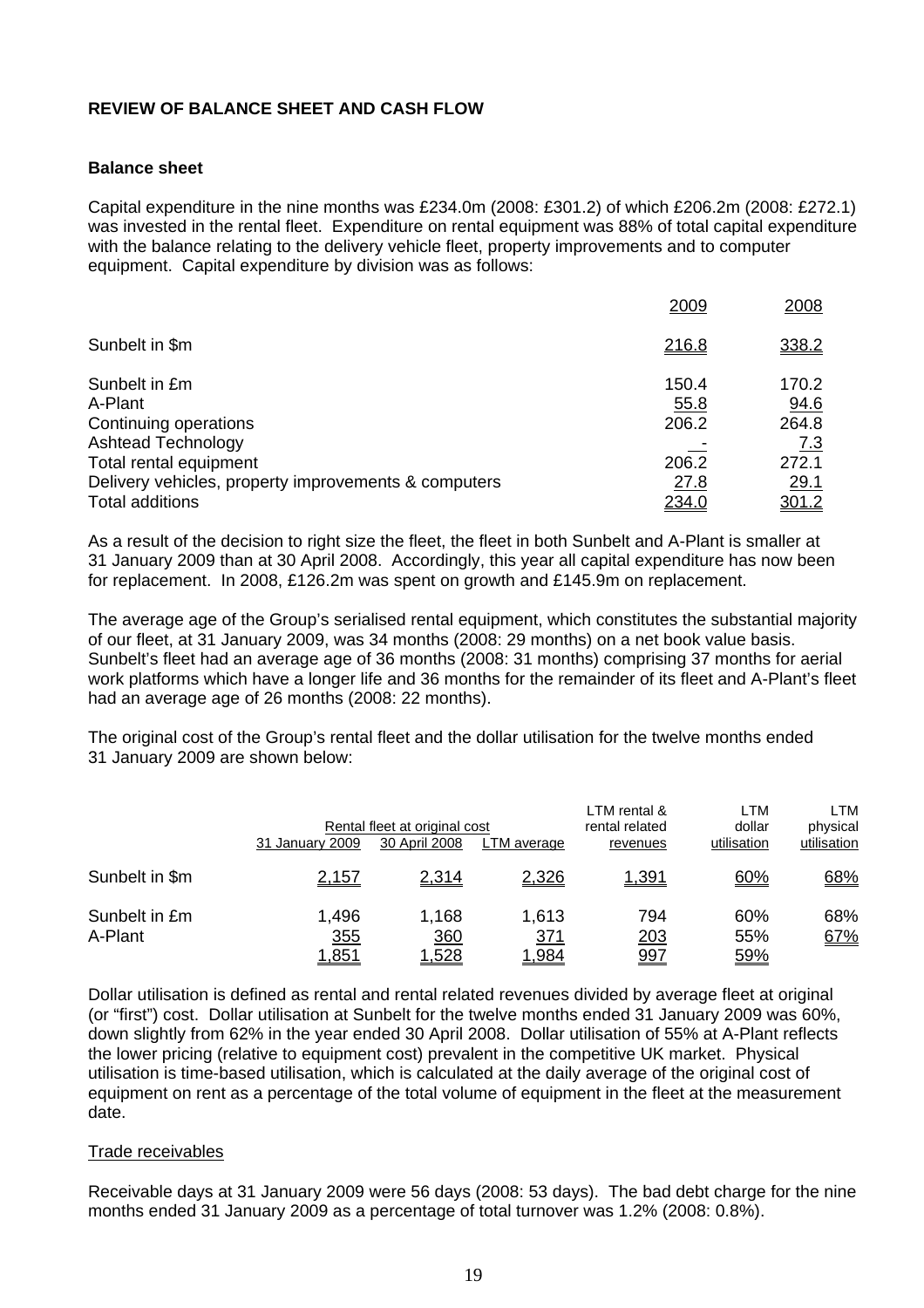#### **REVIEW OF BALANCE SHEET AND CASH FLOW**

#### **Balance sheet**

Capital expenditure in the nine months was £234.0m (2008: £301.2) of which £206.2m (2008: £272.1) was invested in the rental fleet. Expenditure on rental equipment was 88% of total capital expenditure with the balance relating to the delivery vehicle fleet, property improvements and to computer equipment. Capital expenditure by division was as follows:

|                                                      | 2009  | 2008        |
|------------------------------------------------------|-------|-------------|
| Sunbelt in \$m                                       | 216.8 | 338.2       |
| Sunbelt in £m                                        | 150.4 | 170.2       |
| A-Plant                                              | 55.8  | 94.6        |
| Continuing operations                                | 206.2 | 264.8       |
| <b>Ashtead Technology</b>                            |       | 7.3         |
| Total rental equipment                               | 206.2 | 272.1       |
| Delivery vehicles, property improvements & computers | 27.8  | <u>29.1</u> |
| <b>Total additions</b>                               | 234.0 | 301.2       |

As a result of the decision to right size the fleet, the fleet in both Sunbelt and A-Plant is smaller at 31 January 2009 than at 30 April 2008. Accordingly, this year all capital expenditure has now been for replacement. In 2008, £126.2m was spent on growth and £145.9m on replacement.

The average age of the Group's serialised rental equipment, which constitutes the substantial majority of our fleet, at 31 January 2009, was 34 months (2008: 29 months) on a net book value basis. Sunbelt's fleet had an average age of 36 months (2008: 31 months) comprising 37 months for aerial work platforms which have a longer life and 36 months for the remainder of its fleet and A-Plant's fleet had an average age of 26 months (2008: 22 months).

The original cost of the Group's rental fleet and the dollar utilisation for the twelve months ended 31 January 2009 are shown below:

|                          | 31 January 2009              | Rental fleet at original cost<br>30 April 2008 | LTM average                          | LTM rental &<br>rental related<br>revenues | LTM<br>dollar<br>utilisation | LTM<br>physical<br>utilisation |
|--------------------------|------------------------------|------------------------------------------------|--------------------------------------|--------------------------------------------|------------------------------|--------------------------------|
| Sunbelt in \$m           | 2,157                        | 2,314                                          | 2,326                                | <u>1,391</u>                               | 60%                          | 68%                            |
| Sunbelt in £m<br>A-Plant | 1,496<br>355<br><u>1,851</u> | 1,168<br><u>360</u><br><u>1,528</u>            | 1,613<br><u>371</u><br>1, <u>984</u> | 794<br><u> 203</u><br><u>997</u>           | 60%<br>55%<br>59%            | 68%<br>67%                     |

Dollar utilisation is defined as rental and rental related revenues divided by average fleet at original (or "first") cost. Dollar utilisation at Sunbelt for the twelve months ended 31 January 2009 was 60%, down slightly from 62% in the year ended 30 April 2008. Dollar utilisation of 55% at A-Plant reflects the lower pricing (relative to equipment cost) prevalent in the competitive UK market. Physical utilisation is time-based utilisation, which is calculated at the daily average of the original cost of equipment on rent as a percentage of the total volume of equipment in the fleet at the measurement date.

#### Trade receivables

Receivable days at 31 January 2009 were 56 days (2008: 53 days). The bad debt charge for the nine months ended 31 January 2009 as a percentage of total turnover was 1.2% (2008: 0.8%).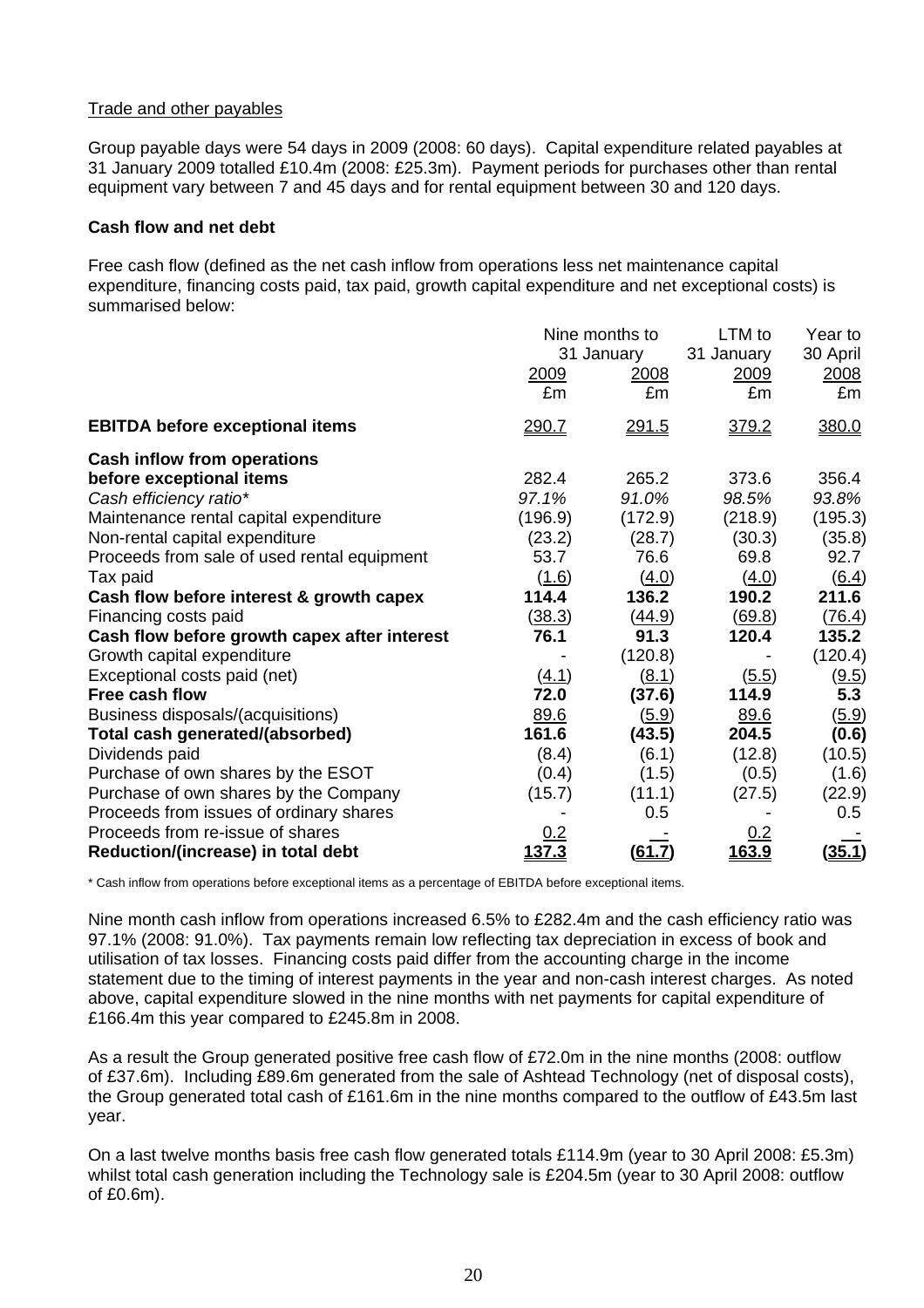#### Trade and other payables

Group payable days were 54 days in 2009 (2008: 60 days). Capital expenditure related payables at 31 January 2009 totalled £10.4m (2008: £25.3m). Payment periods for purchases other than rental equipment vary between 7 and 45 days and for rental equipment between 30 and 120 days.

#### **Cash flow and net debt**

Free cash flow (defined as the net cash inflow from operations less net maintenance capital expenditure, financing costs paid, tax paid, growth capital expenditure and net exceptional costs) is summarised below:

|                                              | Nine months to<br>31 January<br>2009<br><u>2008</u> |                     | LTM to<br>31 January<br>2009<br>£m | Year to<br>30 April<br>2008<br>£m |
|----------------------------------------------|-----------------------------------------------------|---------------------|------------------------------------|-----------------------------------|
| <b>EBITDA before exceptional items</b>       | £m<br>290.7                                         | £m<br><u> 291.5</u> | 379.2                              | 380.0                             |
| <b>Cash inflow from operations</b>           |                                                     |                     |                                    |                                   |
| before exceptional items                     | 282.4                                               | 265.2               | 373.6                              | 356.4                             |
| Cash efficiency ratio*                       | 97.1%                                               | 91.0%               | 98.5%                              | 93.8%                             |
| Maintenance rental capital expenditure       | (196.9)                                             | (172.9)             | (218.9)                            | (195.3)                           |
| Non-rental capital expenditure               | (23.2)                                              | (28.7)              | (30.3)                             | (35.8)                            |
| Proceeds from sale of used rental equipment  | 53.7                                                | 76.6                | 69.8                               | 92.7                              |
| Tax paid                                     | (1.6)                                               | (4.0)               | (4.0)                              | $\underline{(6.4)}$               |
| Cash flow before interest & growth capex     | 114.4                                               | 136.2               | 190.2                              | 211.6                             |
| Financing costs paid                         | (38.3)                                              | <u>(44.9)</u>       | (69.8)                             | (76.4)                            |
| Cash flow before growth capex after interest | 76.1                                                | 91.3                | 120.4                              | 135.2                             |
| Growth capital expenditure                   |                                                     | (120.8)             |                                    | (120.4)                           |
| Exceptional costs paid (net)                 | (4.1)                                               | (8.1)               | (5.5)                              | (9.5)                             |
| Free cash flow                               | 72.0                                                | (37.6)              | 114.9                              | 5.3                               |
| Business disposals/(acquisitions)            | 89.6                                                | (5.9)               | 89.6                               | <u>(5.9)</u>                      |
| Total cash generated/(absorbed)              | 161.6                                               | (43.5)              | 204.5                              | (0.6)                             |
| Dividends paid                               | (8.4)                                               | (6.1)               | (12.8)                             | (10.5)                            |
| Purchase of own shares by the ESOT           | (0.4)                                               | (1.5)               | (0.5)                              | (1.6)                             |
| Purchase of own shares by the Company        | (15.7)                                              | (11.1)              | (27.5)                             | (22.9)                            |
| Proceeds from issues of ordinary shares      |                                                     | 0.5                 |                                    | 0.5                               |
| Proceeds from re-issue of shares             |                                                     |                     | 0.2                                |                                   |
| Reduction/(increase) in total debt           | <u>137.3</u>                                        | (61.7)              | 163.9                              | (35.1)                            |

\* Cash inflow from operations before exceptional items as a percentage of EBITDA before exceptional items.

Nine month cash inflow from operations increased 6.5% to £282.4m and the cash efficiency ratio was 97.1% (2008: 91.0%). Tax payments remain low reflecting tax depreciation in excess of book and utilisation of tax losses. Financing costs paid differ from the accounting charge in the income statement due to the timing of interest payments in the year and non-cash interest charges. As noted above, capital expenditure slowed in the nine months with net payments for capital expenditure of £166.4m this year compared to £245.8m in 2008.

As a result the Group generated positive free cash flow of £72.0m in the nine months (2008: outflow of £37.6m). Including £89.6m generated from the sale of Ashtead Technology (net of disposal costs), the Group generated total cash of £161.6m in the nine months compared to the outflow of £43.5m last year.

On a last twelve months basis free cash flow generated totals £114.9m (year to 30 April 2008: £5.3m) whilst total cash generation including the Technology sale is £204.5m (year to 30 April 2008: outflow of £0.6m).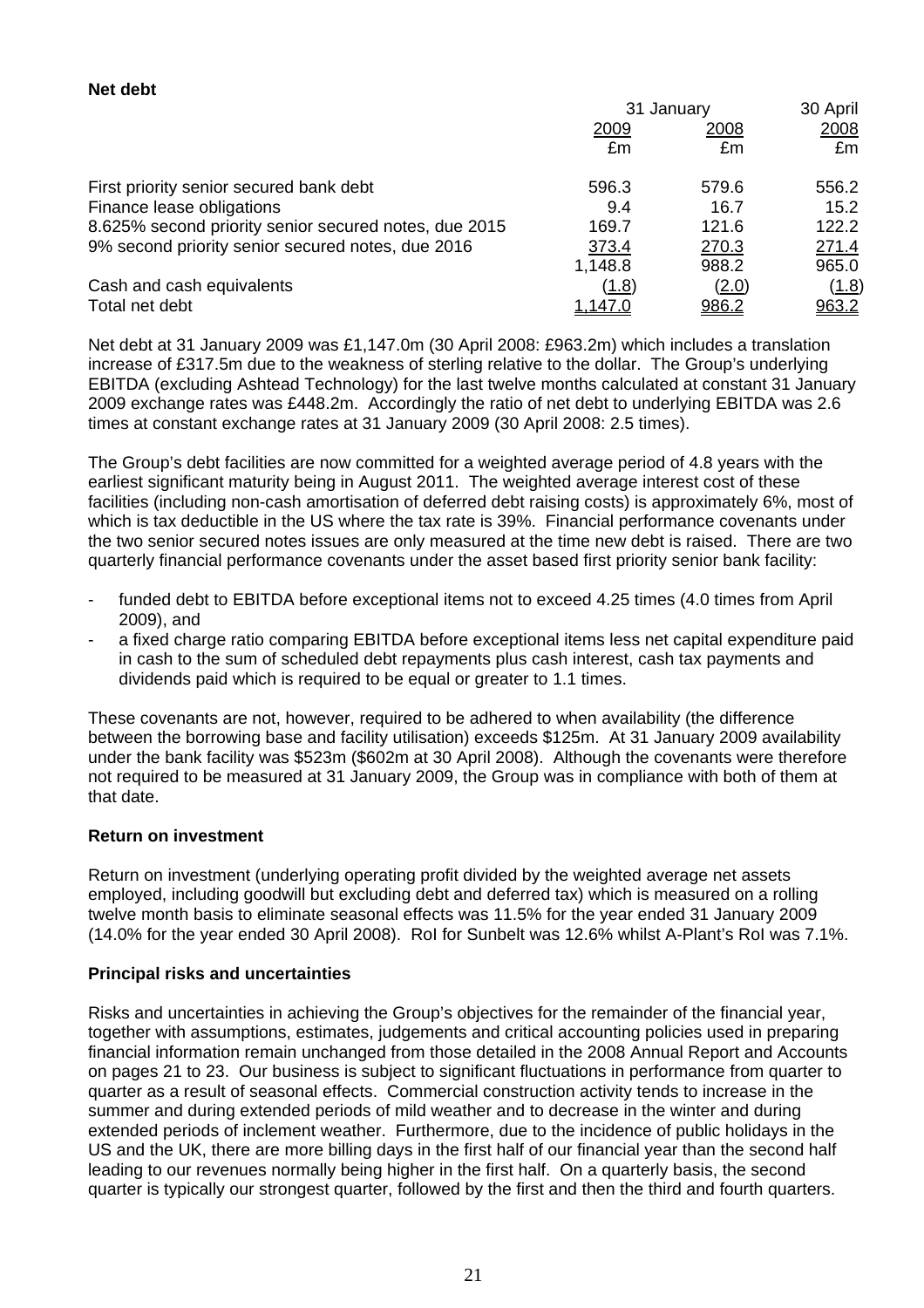#### **Net debt**

|                                                       | 31 January     |              | 30 April    |
|-------------------------------------------------------|----------------|--------------|-------------|
|                                                       | 2009           | 2008         | <u>2008</u> |
|                                                       | £m             | £m           | £m          |
| First priority senior secured bank debt               | 596.3          | 579.6        | 556.2       |
| Finance lease obligations                             | 9.4            | 16.7         | 15.2        |
| 8.625% second priority senior secured notes, due 2015 | 169.7          | 121.6        | 122.2       |
| 9% second priority senior secured notes, due 2016     | 373.4          | 270.3        | 271.4       |
|                                                       | 1,148.8        | 988.2        | 965.0       |
| Cash and cash equivalents                             | (1.8)          | <u>(2.0)</u> | (1.8)       |
| Total net debt                                        | <u>1,147.0</u> | <u>986.2</u> | 963.2       |

Net debt at 31 January 2009 was £1,147.0m (30 April 2008: £963.2m) which includes a translation increase of £317.5m due to the weakness of sterling relative to the dollar. The Group's underlying EBITDA (excluding Ashtead Technology) for the last twelve months calculated at constant 31 January 2009 exchange rates was £448.2m. Accordingly the ratio of net debt to underlying EBITDA was 2.6 times at constant exchange rates at 31 January 2009 (30 April 2008: 2.5 times).

The Group's debt facilities are now committed for a weighted average period of 4.8 years with the earliest significant maturity being in August 2011. The weighted average interest cost of these facilities (including non-cash amortisation of deferred debt raising costs) is approximately 6%, most of which is tax deductible in the US where the tax rate is 39%. Financial performance covenants under the two senior secured notes issues are only measured at the time new debt is raised. There are two quarterly financial performance covenants under the asset based first priority senior bank facility:

- funded debt to EBITDA before exceptional items not to exceed 4.25 times (4.0 times from April 2009), and
- a fixed charge ratio comparing EBITDA before exceptional items less net capital expenditure paid in cash to the sum of scheduled debt repayments plus cash interest, cash tax payments and dividends paid which is required to be equal or greater to 1.1 times.

These covenants are not, however, required to be adhered to when availability (the difference between the borrowing base and facility utilisation) exceeds \$125m. At 31 January 2009 availability under the bank facility was \$523m (\$602m at 30 April 2008). Although the covenants were therefore not required to be measured at 31 January 2009, the Group was in compliance with both of them at that date.

#### **Return on investment**

Return on investment (underlying operating profit divided by the weighted average net assets employed, including goodwill but excluding debt and deferred tax) which is measured on a rolling twelve month basis to eliminate seasonal effects was 11.5% for the year ended 31 January 2009 (14.0% for the year ended 30 April 2008). RoI for Sunbelt was 12.6% whilst A-Plant's RoI was 7.1%.

#### **Principal risks and uncertainties**

Risks and uncertainties in achieving the Group's objectives for the remainder of the financial year, together with assumptions, estimates, judgements and critical accounting policies used in preparing financial information remain unchanged from those detailed in the 2008 Annual Report and Accounts on pages 21 to 23. Our business is subject to significant fluctuations in performance from quarter to quarter as a result of seasonal effects. Commercial construction activity tends to increase in the summer and during extended periods of mild weather and to decrease in the winter and during extended periods of inclement weather. Furthermore, due to the incidence of public holidays in the US and the UK, there are more billing days in the first half of our financial year than the second half leading to our revenues normally being higher in the first half. On a quarterly basis, the second quarter is typically our strongest quarter, followed by the first and then the third and fourth quarters.